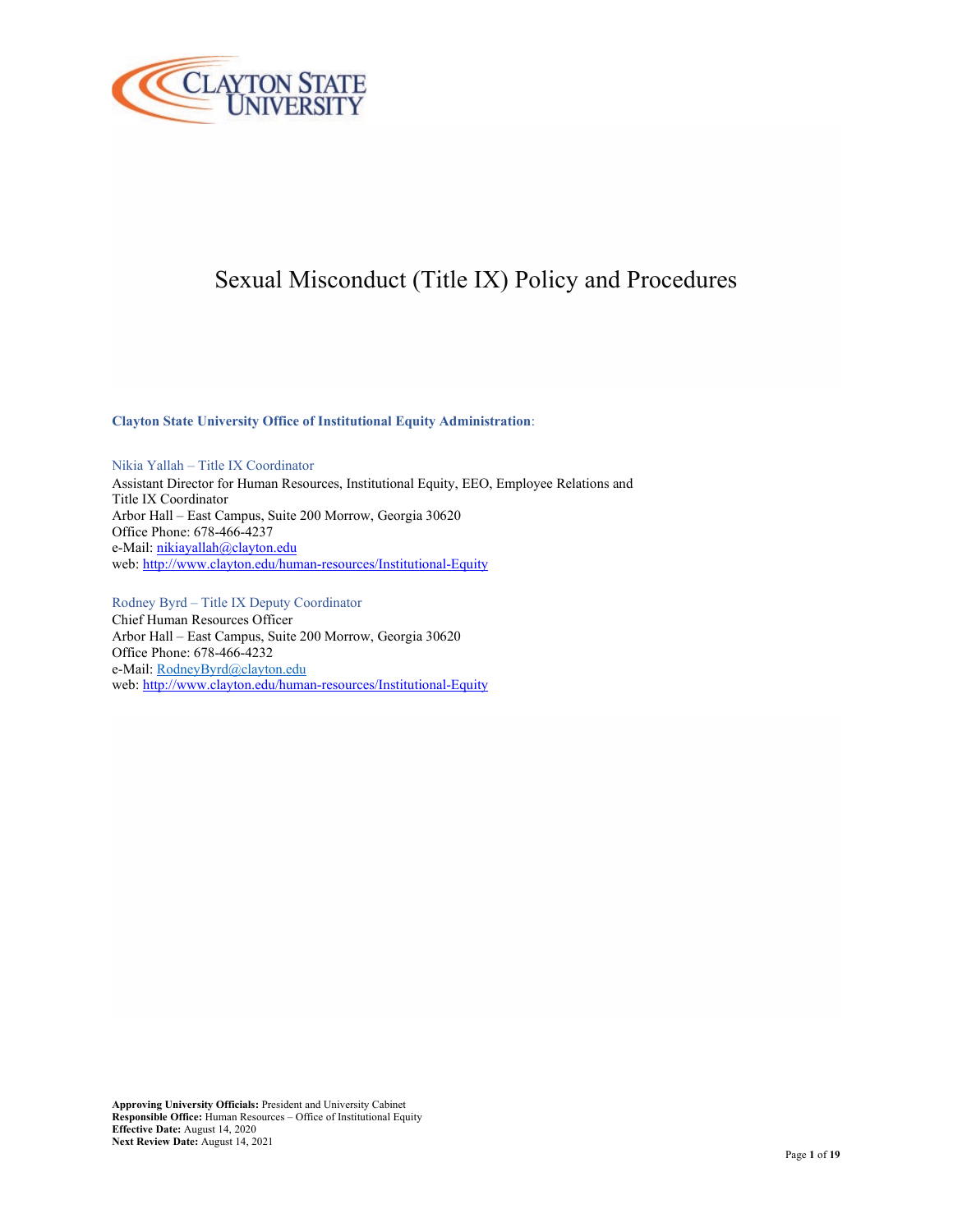

# Sexual Misconduct (Title IX) Policy and Procedures

**Clayton State University Office of Institutional Equity Administration**:

Nikia Yallah – Title IX Coordinator Assistant Director for Human Resources, Institutional Equity, EEO, Employee Relations and Title IX Coordinator Arbor Hall – East Campus, Suite 200 Morrow, Georgia 30620 Office Phone: 678-466-4237 e-Mail[: nikiayallah@clayton.edu](mailto:nikiayallah@clayton.edu) web[: http://www.clayton.edu/human-resources/Institutional-Equity](http://www.clayton.edu/human-resources/Institutional-Equity)

Rodney Byrd – Title IX Deputy Coordinator Chief Human Resources Officer Arbor Hall – East Campus, Suite 200 Morrow, Georgia 30620 Office Phone: 678-466-4232 e-Mail[: RodneyByrd@clayton.edu](mailto:RodneyByrd@clayton.edu) web[: http://www.clayton.edu/human-resources/Institutional-Equity](http://www.clayton.edu/human-resources/Institutional-Equity)

**Approving University Officials:** President and University Cabinet **Responsible Office:** Human Resources – Office of Institutional Equity **Effective Date:** August 14, 2020 **Next Review Date:** August 14, 2021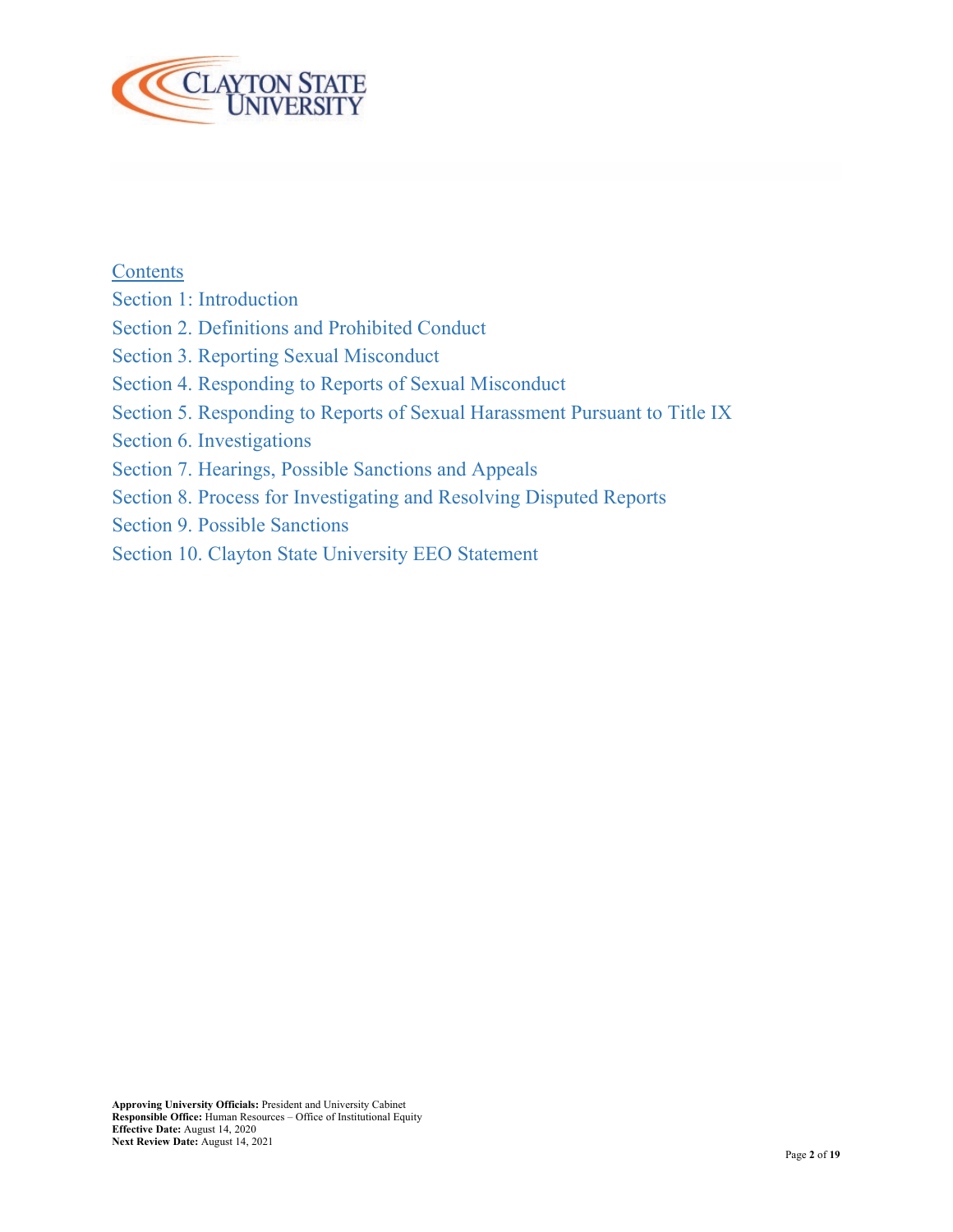

**Contents** 

- Section 1: Introduction
- Section 2. Definitions and Prohibited Conduct
- Section 3. Reporting Sexual Misconduct
- Section 4. Responding to Reports of Sexual Misconduct
- Section 5. Responding to Reports of Sexual Harassment Pursuant to Title IX
- Section 6. Investigations
- Section 7. Hearings, Possible Sanctions and Appeals
- Section 8. Process for Investigating and Resolving Disputed Reports
- Section 9. Possible Sanctions
- Section 10. Clayton State University EEO Statement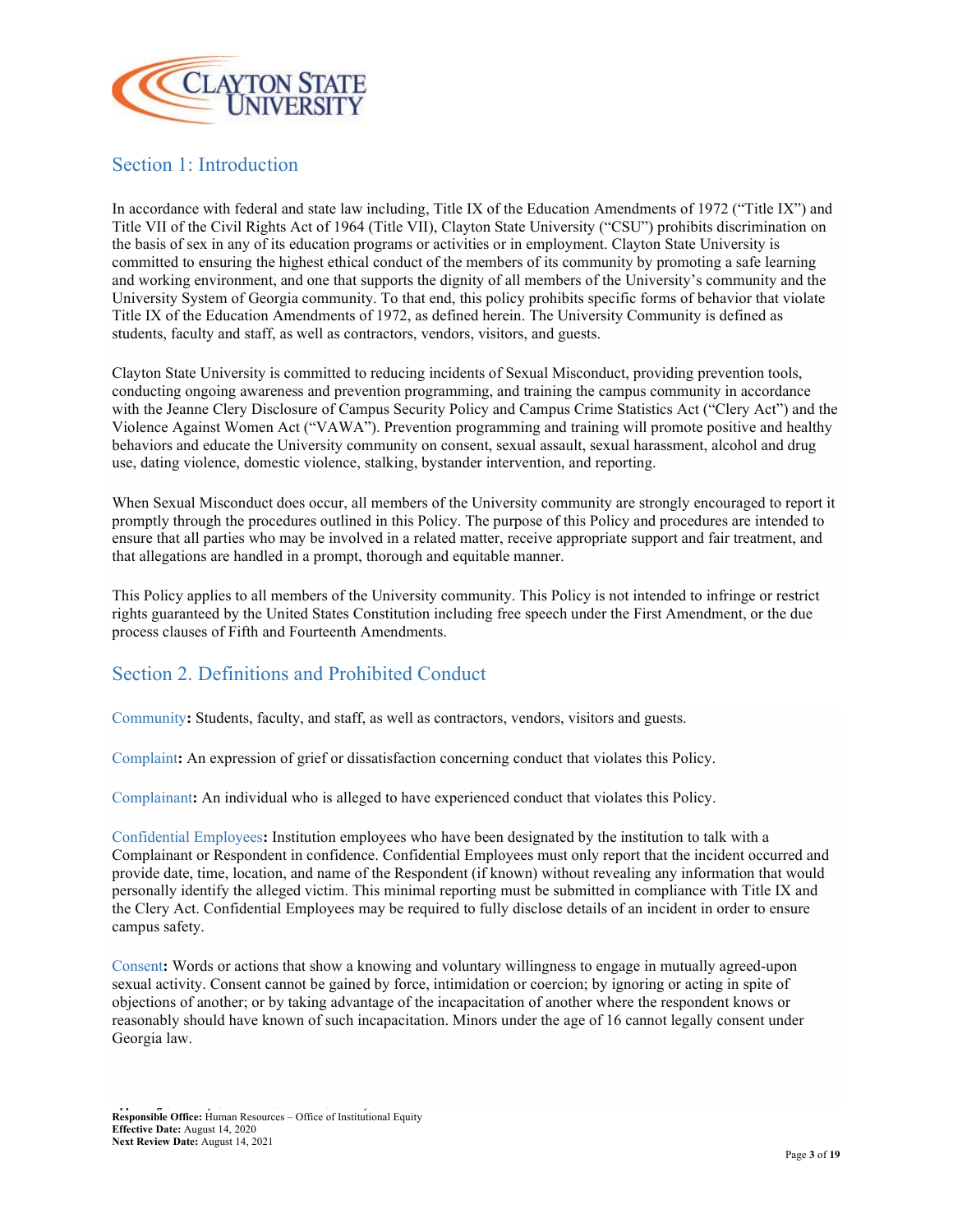

#### Section 1: Introduction

In accordance with federal and state law including, Title IX of the Education Amendments of 1972 ("Title IX") and Title VII of the Civil Rights Act of 1964 (Title VII), Clayton State University ("CSU") prohibits discrimination on the basis of sex in any of its education programs or activities or in employment. Clayton State University is committed to ensuring the highest ethical conduct of the members of its community by promoting a safe learning and working environment, and one that supports the dignity of all members of the University's community and the University System of Georgia community. To that end, this policy prohibits specific forms of behavior that violate Title IX of the Education Amendments of 1972, as defined herein. The University Community is defined as students, faculty and staff, as well as contractors, vendors, visitors, and guests.

Clayton State University is committed to reducing incidents of Sexual Misconduct, providing prevention tools, conducting ongoing awareness and prevention programming, and training the campus community in accordance with the Jeanne Clery Disclosure of Campus Security Policy and Campus Crime Statistics Act ("Clery Act") and the Violence Against Women Act ("VAWA"). Prevention programming and training will promote positive and healthy behaviors and educate the University community on consent, sexual assault, sexual harassment, alcohol and drug use, dating violence, domestic violence, stalking, bystander intervention, and reporting.

When Sexual Misconduct does occur, all members of the University community are strongly encouraged to report it promptly through the procedures outlined in this Policy. The purpose of this Policy and procedures are intended to ensure that all parties who may be involved in a related matter, receive appropriate support and fair treatment, and that allegations are handled in a prompt, thorough and equitable manner.

This Policy applies to all members of the University community. This Policy is not intended to infringe or restrict rights guaranteed by the United States Constitution including free speech under the First Amendment, or the due process clauses of Fifth and Fourteenth Amendments.

#### Section 2. Definitions and Prohibited Conduct

Community**:** Students, faculty, and staff, as well as contractors, vendors, visitors and guests.

Complaint**:** An expression of grief or dissatisfaction concerning conduct that violates this Policy.

Complainant**:** An individual who is alleged to have experienced conduct that violates this Policy.

Confidential Employees**:** Institution employees who have been designated by the institution to talk with a Complainant or Respondent in confidence. Confidential Employees must only report that the incident occurred and provide date, time, location, and name of the Respondent (if known) without revealing any information that would personally identify the alleged victim. This minimal reporting must be submitted in compliance with Title IX and the Clery Act. Confidential Employees may be required to fully disclose details of an incident in order to ensure campus safety.

Consent**:** Words or actions that show a knowing and voluntary willingness to engage in mutually agreed-upon sexual activity. Consent cannot be gained by force, intimidation or coercion; by ignoring or acting in spite of objections of another; or by taking advantage of the incapacitation of another where the respondent knows or reasonably should have known of such incapacitation. Minors under the age of 16 cannot legally consent under Georgia law.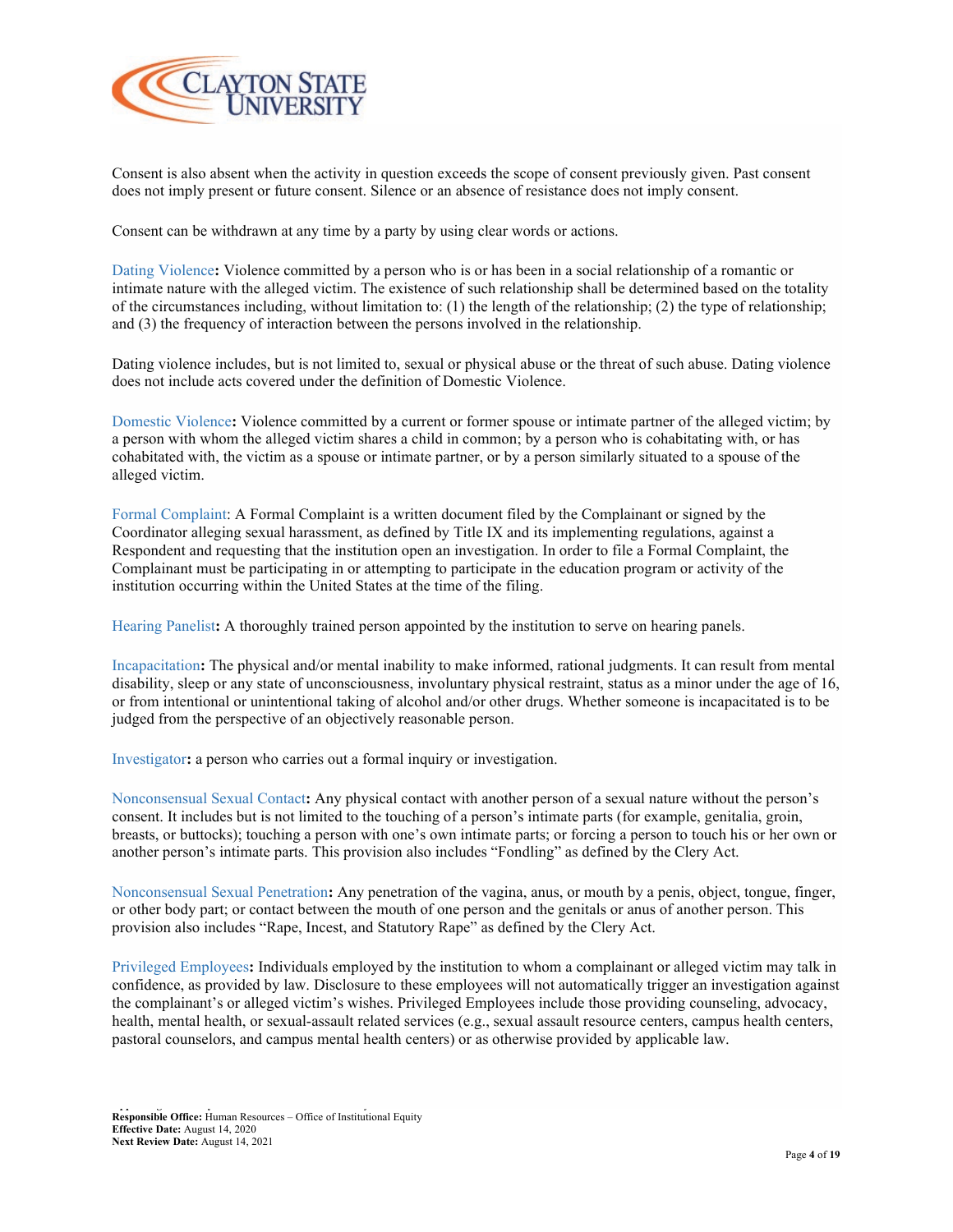

Consent is also absent when the activity in question exceeds the scope of consent previously given. Past consent does not imply present or future consent. Silence or an absence of resistance does not imply consent.

Consent can be withdrawn at any time by a party by using clear words or actions.

Dating Violence**:** Violence committed by a person who is or has been in a social relationship of a romantic or intimate nature with the alleged victim. The existence of such relationship shall be determined based on the totality of the circumstances including, without limitation to: (1) the length of the relationship; (2) the type of relationship; and (3) the frequency of interaction between the persons involved in the relationship.

Dating violence includes, but is not limited to, sexual or physical abuse or the threat of such abuse. Dating violence does not include acts covered under the definition of Domestic Violence.

Domestic Violence**:** Violence committed by a current or former spouse or intimate partner of the alleged victim; by a person with whom the alleged victim shares a child in common; by a person who is cohabitating with, or has cohabitated with, the victim as a spouse or intimate partner, or by a person similarly situated to a spouse of the alleged victim.

Formal Complaint: A Formal Complaint is a written document filed by the Complainant or signed by the Coordinator alleging sexual harassment, as defined by Title IX and its implementing regulations, against a Respondent and requesting that the institution open an investigation. In order to file a Formal Complaint, the Complainant must be participating in or attempting to participate in the education program or activity of the institution occurring within the United States at the time of the filing.

Hearing Panelist**:** A thoroughly trained person appointed by the institution to serve on hearing panels.

Incapacitation**:** The physical and/or mental inability to make informed, rational judgments. It can result from mental disability, sleep or any state of unconsciousness, involuntary physical restraint, status as a minor under the age of 16, or from intentional or unintentional taking of alcohol and/or other drugs. Whether someone is incapacitated is to be judged from the perspective of an objectively reasonable person.

Investigator**:** a person who carries out a formal inquiry or investigation.

Nonconsensual Sexual Contact**:** Any physical contact with another person of a sexual nature without the person's consent. It includes but is not limited to the touching of a person's intimate parts (for example, genitalia, groin, breasts, or buttocks); touching a person with one's own intimate parts; or forcing a person to touch his or her own or another person's intimate parts. This provision also includes "Fondling" as defined by the Clery Act.

Nonconsensual Sexual Penetration**:** Any penetration of the vagina, anus, or mouth by a penis, object, tongue, finger, or other body part; or contact between the mouth of one person and the genitals or anus of another person. This provision also includes "Rape, Incest, and Statutory Rape" as defined by the Clery Act.

Privileged Employees**:** Individuals employed by the institution to whom a complainant or alleged victim may talk in confidence, as provided by law. Disclosure to these employees will not automatically trigger an investigation against the complainant's or alleged victim's wishes. Privileged Employees include those providing counseling, advocacy, health, mental health, or sexual-assault related services (e.g., sexual assault resource centers, campus health centers, pastoral counselors, and campus mental health centers) or as otherwise provided by applicable law.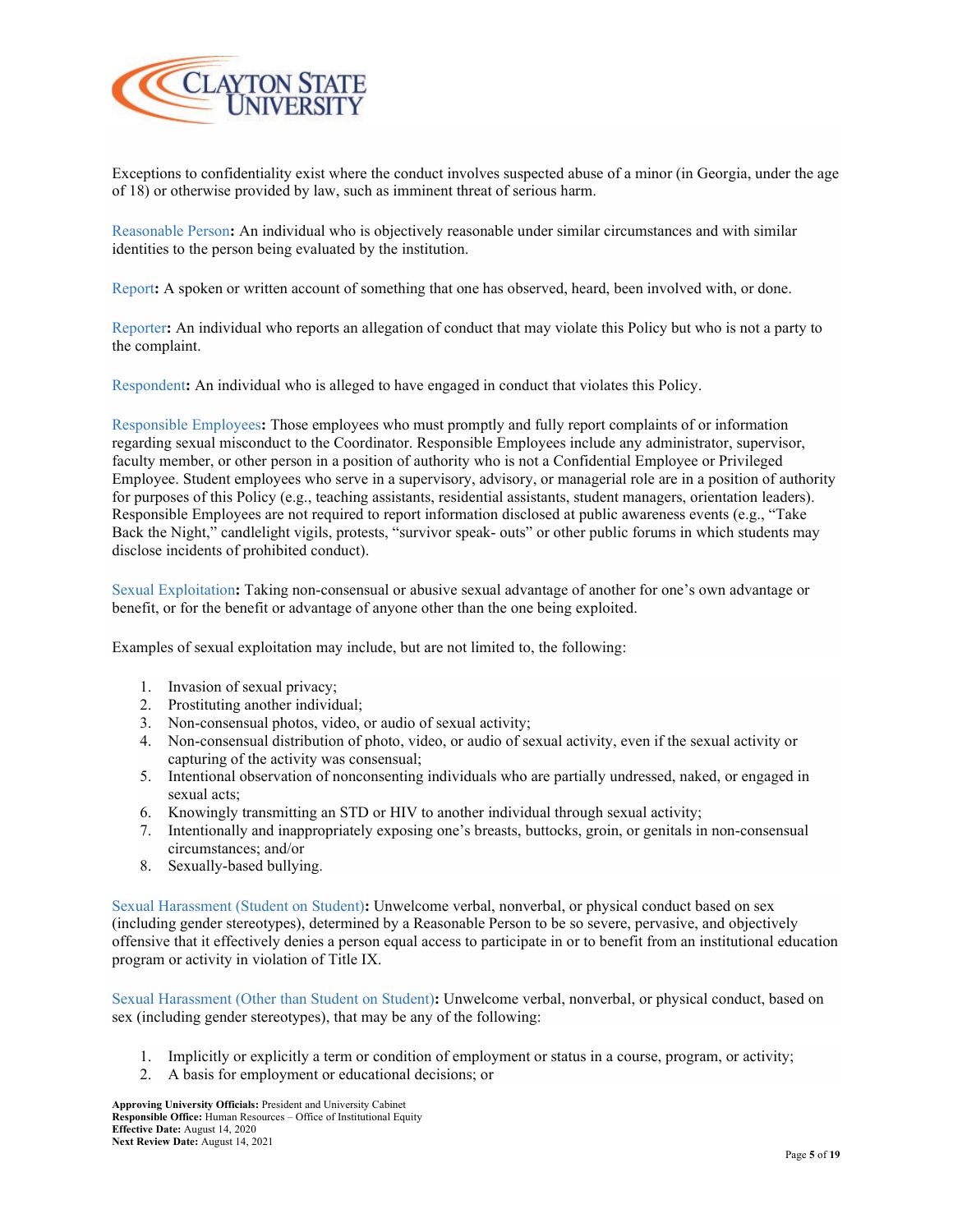

Exceptions to confidentiality exist where the conduct involves suspected abuse of a minor (in Georgia, under the age of 18) or otherwise provided by law, such as imminent threat of serious harm.

Reasonable Person**:** An individual who is objectively reasonable under similar circumstances and with similar identities to the person being evaluated by the institution.

Report**:** A spoken or written account of something that one has observed, heard, been involved with, or done.

Reporter**:** An individual who reports an allegation of conduct that may violate this Policy but who is not a party to the complaint.

Respondent**:** An individual who is alleged to have engaged in conduct that violates this Policy.

Responsible Employees**:** Those employees who must promptly and fully report complaints of or information regarding sexual misconduct to the Coordinator. Responsible Employees include any administrator, supervisor, faculty member, or other person in a position of authority who is not a Confidential Employee or Privileged Employee. Student employees who serve in a supervisory, advisory, or managerial role are in a position of authority for purposes of this Policy (e.g., teaching assistants, residential assistants, student managers, orientation leaders). Responsible Employees are not required to report information disclosed at public awareness events (e.g., "Take Back the Night," candlelight vigils, protests, "survivor speak- outs" or other public forums in which students may disclose incidents of prohibited conduct).

Sexual Exploitation**:** Taking non-consensual or abusive sexual advantage of another for one's own advantage or benefit, or for the benefit or advantage of anyone other than the one being exploited.

Examples of sexual exploitation may include, but are not limited to, the following:

- 1. Invasion of sexual privacy;
- 2. Prostituting another individual;
- 3. Non-consensual photos, video, or audio of sexual activity;
- 4. Non-consensual distribution of photo, video, or audio of sexual activity, even if the sexual activity or capturing of the activity was consensual;
- 5. Intentional observation of nonconsenting individuals who are partially undressed, naked, or engaged in sexual acts;
- 6. Knowingly transmitting an STD or HIV to another individual through sexual activity;
- 7. Intentionally and inappropriately exposing one's breasts, buttocks, groin, or genitals in non-consensual circumstances; and/or
- 8. Sexually-based bullying.

Sexual Harassment (Student on Student)**:** Unwelcome verbal, nonverbal, or physical conduct based on sex (including gender stereotypes), determined by a Reasonable Person to be so severe, pervasive, and objectively offensive that it effectively denies a person equal access to participate in or to benefit from an institutional education program or activity in violation of Title IX.

Sexual Harassment (Other than Student on Student)**:** Unwelcome verbal, nonverbal, or physical conduct, based on sex (including gender stereotypes), that may be any of the following:

- 1. Implicitly or explicitly a term or condition of employment or status in a course, program, or activity;
- 2. A basis for employment or educational decisions; or

**Approving University Officials:** President and University Cabinet **Responsible Office:** Human Resources – Office of Institutional Equity **Effective Date:** August 14, 2020 **Next Review Date:** August 14, 2021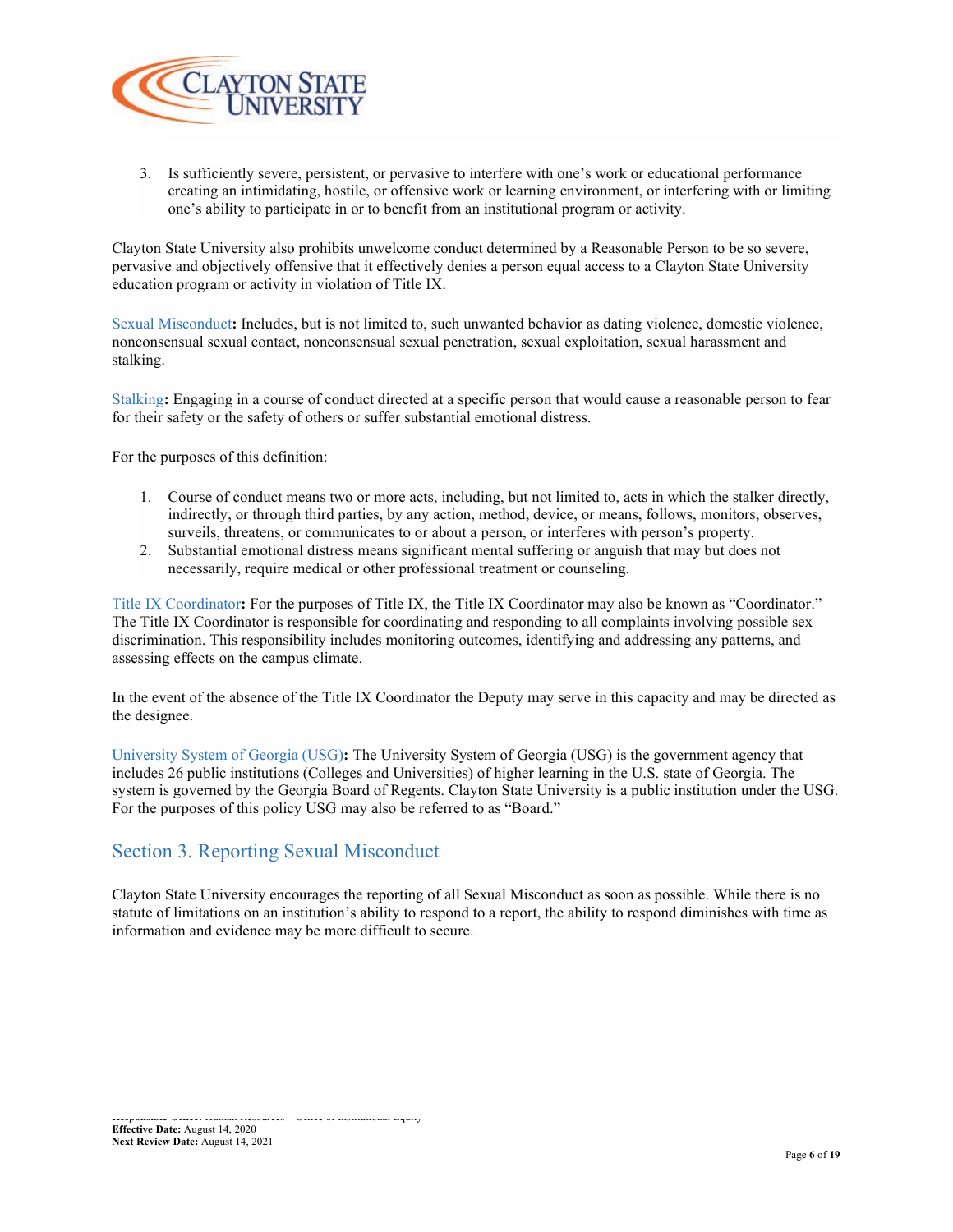

3. Is sufficiently severe, persistent, or pervasive to interfere with one's work or educational performance creating an intimidating, hostile, or offensive work or learning environment, or interfering with or limiting one's ability to participate in or to benefit from an institutional program or activity.

Clayton State University also prohibits unwelcome conduct determined by a Reasonable Person to be so severe, pervasive and objectively offensive that it effectively denies a person equal access to a Clayton State University education program or activity in violation of Title IX.

Sexual Misconduct**:** Includes, but is not limited to, such unwanted behavior as dating violence, domestic violence, nonconsensual sexual contact, nonconsensual sexual penetration, sexual exploitation, sexual harassment and stalking.

Stalking**:** Engaging in a course of conduct directed at a specific person that would cause a reasonable person to fear for their safety or the safety of others or suffer substantial emotional distress.

For the purposes of this definition:

- 1. Course of conduct means two or more acts, including, but not limited to, acts in which the stalker directly, indirectly, or through third parties, by any action, method, device, or means, follows, monitors, observes, surveils, threatens, or communicates to or about a person, or interferes with person's property.
- 2. Substantial emotional distress means significant mental suffering or anguish that may but does not necessarily, require medical or other professional treatment or counseling.

Title IX Coordinator**:** For the purposes of Title IX, the Title IX Coordinator may also be known as "Coordinator." The Title IX Coordinator is responsible for coordinating and responding to all complaints involving possible sex discrimination. This responsibility includes monitoring outcomes, identifying and addressing any patterns, and assessing effects on the campus climate.

In the event of the absence of the Title IX Coordinator the Deputy may serve in this capacity and may be directed as the designee.

University System of Georgia (USG)**:** The University System of Georgia (USG) is the government agency that includes 26 public institutions (Colleges and Universities) of higher learning in the U.S. state of Georgia. The system is governed by the Georgia Board of Regents. Clayton State University is a public institution under the USG. For the purposes of this policy USG may also be referred to as "Board."

#### Section 3. Reporting Sexual Misconduct

Clayton State University encourages the reporting of all Sexual Misconduct as soon as possible. While there is no statute of limitations on an institution's ability to respond to a report, the ability to respond diminishes with time as information and evidence may be more difficult to secure.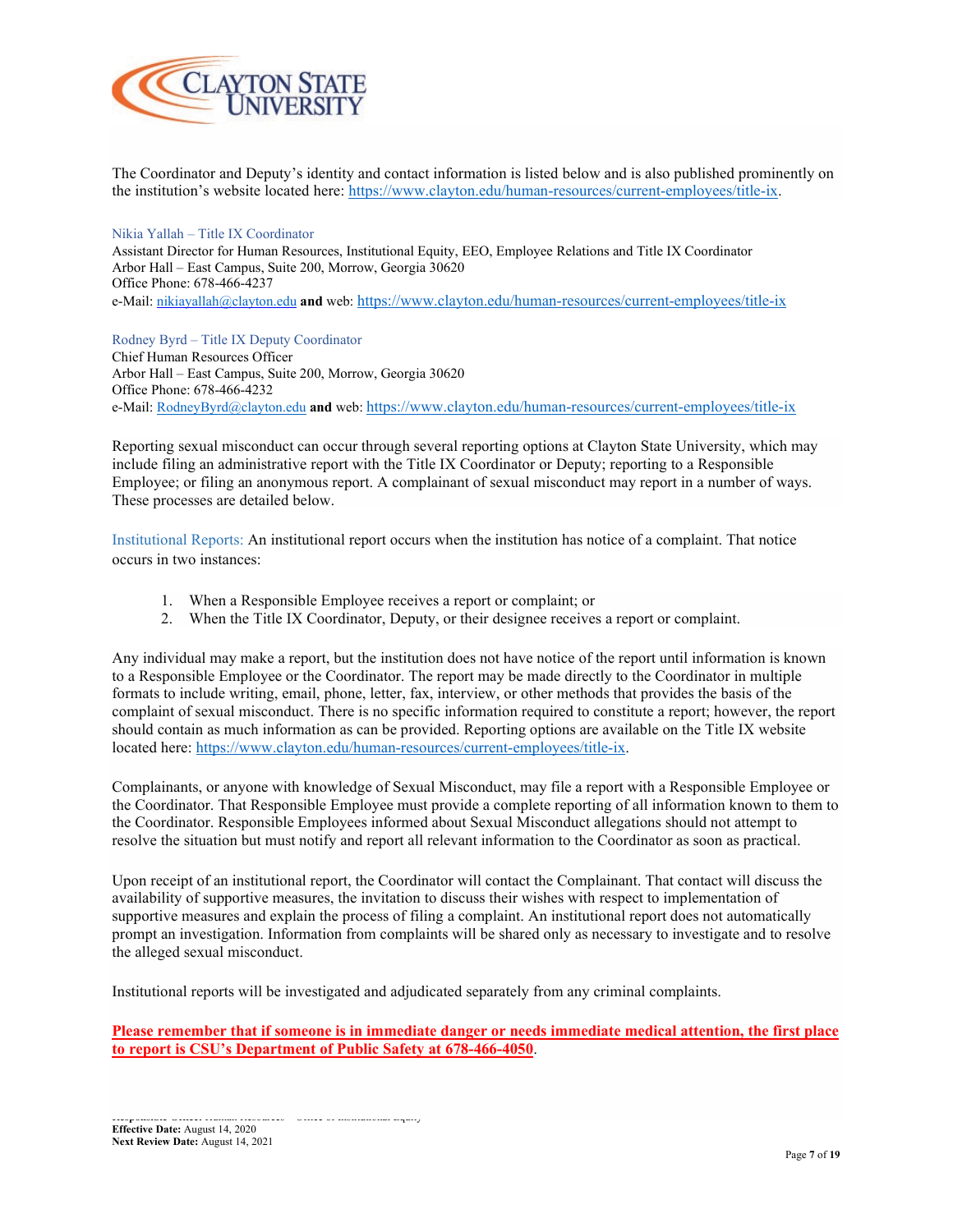

The Coordinator and Deputy's identity and contact information is listed below and is also published prominently on the institution's website located here: [https://www.clayton.edu/human-resources/current-employees/title-ix.](https://www.clayton.edu/human-resources/current-employees/title-ix)

#### Nikia Yallah – Title IX Coordinator

Assistant Director for Human Resources, Institutional Equity, EEO, Employee Relations and Title IX Coordinator Arbor Hall – East Campus, Suite 200, Morrow, Georgia 30620 Office Phone: 678-466-4237 e-Mail[: nikiayallah@clayton.edu](mailto:nikiayallah@clayton.edund) **and** web[: https://www.clayton.edu/human-resources/current-employees/title-ix](https://www.clayton.edu/human-resources/current-employees/title-ix)

Rodney Byrd – Title IX Deputy Coordinator Chief Human Resources Officer Arbor Hall – East Campus, Suite 200, Morrow, Georgia 30620 Office Phone: 678-466-4232 e-Mail[: RodneyByrd@clayton.edu](mailto:RodneyByrd@clayton.edu) **and** web[: https://www.clayton.edu/human-resources/current-employees/title-ix](https://www.clayton.edu/human-resources/current-employees/title-ix)

Reporting sexual misconduct can occur through several reporting options at Clayton State University, which may include filing an administrative report with the Title IX Coordinator or Deputy; reporting to a Responsible Employee; or filing an anonymous report. A complainant of sexual misconduct may report in a number of ways. These processes are detailed below.

Institutional Reports: An institutional report occurs when the institution has notice of a complaint. That notice occurs in two instances:

- 1. When a Responsible Employee receives a report or complaint; or
- 2. When the Title IX Coordinator, Deputy, or their designee receives a report or complaint.

Any individual may make a report, but the institution does not have notice of the report until information is known to a Responsible Employee or the Coordinator. The report may be made directly to the Coordinator in multiple formats to include writing, email, phone, letter, fax, interview, or other methods that provides the basis of the complaint of sexual misconduct. There is no specific information required to constitute a report; however, the report should contain as much information as can be provided. Reporting options are available on the Title IX website located here: [https://www.clayton.edu/human-resources/current-employees/title-ix.](https://www.clayton.edu/human-resources/current-employees/title-ix)

Complainants, or anyone with knowledge of Sexual Misconduct, may file a report with a Responsible Employee or the Coordinator. That Responsible Employee must provide a complete reporting of all information known to them to the Coordinator. Responsible Employees informed about Sexual Misconduct allegations should not attempt to resolve the situation but must notify and report all relevant information to the Coordinator as soon as practical.

Upon receipt of an institutional report, the Coordinator will contact the Complainant. That contact will discuss the availability of supportive measures, the invitation to discuss their wishes with respect to implementation of supportive measures and explain the process of filing a complaint. An institutional report does not automatically prompt an investigation. Information from complaints will be shared only as necessary to investigate and to resolve the alleged sexual misconduct.

Institutional reports will be investigated and adjudicated separately from any criminal complaints.

**Please remember that if someone is in immediate danger or needs immediate medical attention, the first place to report is CSU's Department of Public Safety at 678-466-4050**.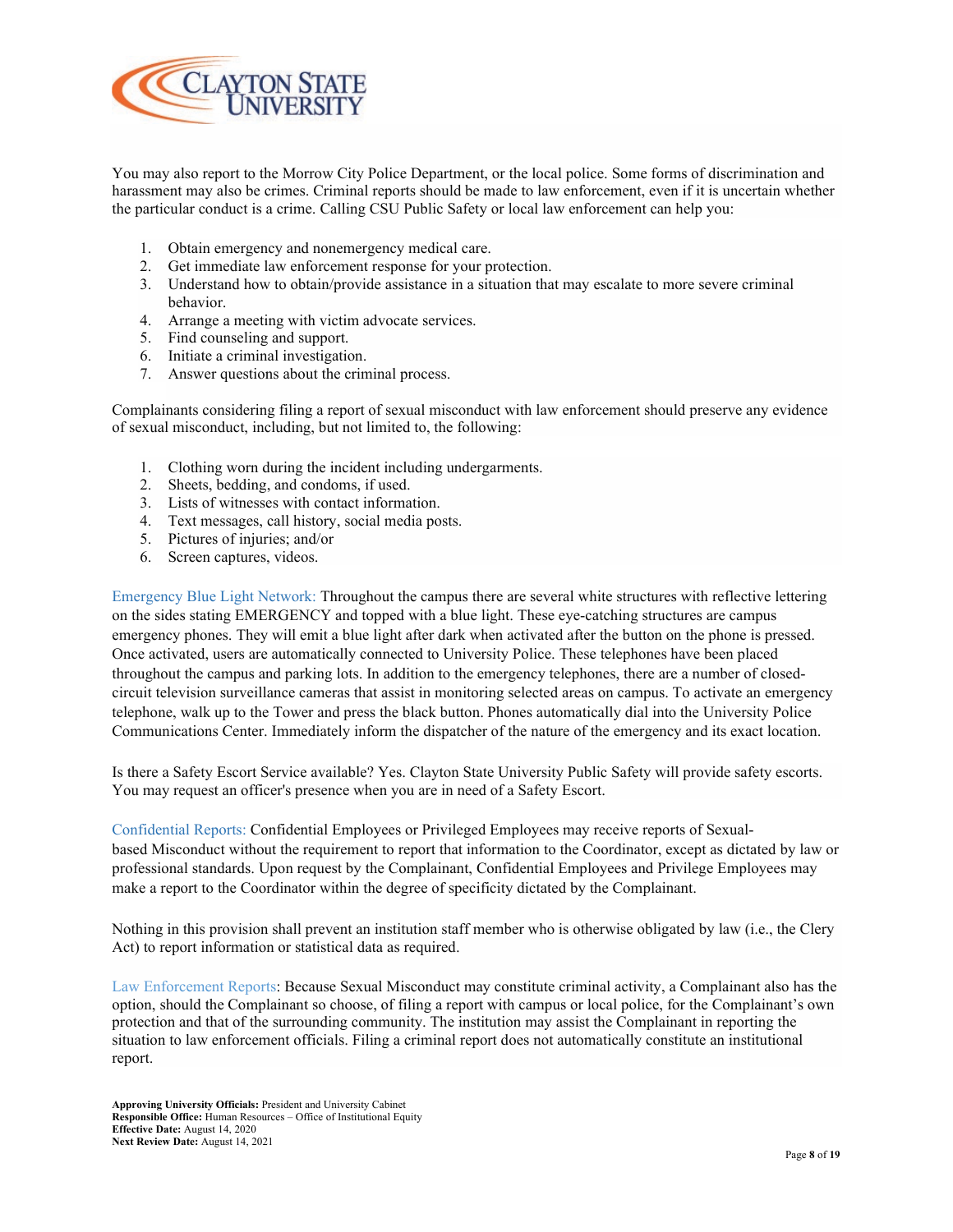

You may also report to the Morrow City Police Department, or the local police. Some forms of discrimination and harassment may also be crimes. Criminal reports should be made to law enforcement, even if it is uncertain whether the particular conduct is a crime. Calling CSU Public Safety or local law enforcement can help you:

- 1. Obtain emergency and nonemergency medical care.
- 2. Get immediate law enforcement response for your protection.
- 3. Understand how to obtain/provide assistance in a situation that may escalate to more severe criminal behavior.
- 4. Arrange a meeting with victim advocate services.
- 5. Find counseling and support.
- 6. Initiate a criminal investigation.
- 7. Answer questions about the criminal process.

Complainants considering filing a report of sexual misconduct with law enforcement should preserve any evidence of sexual misconduct, including, but not limited to, the following:

- 1. Clothing worn during the incident including undergarments.
- 2. Sheets, bedding, and condoms, if used.
- 3. Lists of witnesses with contact information.
- 4. Text messages, call history, social media posts.
- 5. Pictures of injuries; and/or
- 6. Screen captures, videos.

Emergency Blue Light Network: Throughout the campus there are several white structures with reflective lettering on the sides stating EMERGENCY and topped with a blue light. These eye-catching structures are campus emergency phones. They will emit a blue light after dark when activated after the button on the phone is pressed. Once activated, users are automatically connected to University Police. These telephones have been placed throughout the campus and parking lots. In addition to the emergency telephones, there are a number of closedcircuit television surveillance cameras that assist in monitoring selected areas on campus. To activate an emergency telephone, walk up to the Tower and press the black button. Phones automatically dial into the University Police Communications Center. Immediately inform the dispatcher of the nature of the emergency and its exact location.

Is there a Safety Escort Service available? Yes. Clayton State University Public Safety will provide safety escorts. You may request an officer's presence when you are in need of a Safety Escort.

Confidential Reports: Confidential Employees or Privileged Employees may receive reports of Sexualbased Misconduct without the requirement to report that information to the Coordinator, except as dictated by law or professional standards. Upon request by the Complainant, Confidential Employees and Privilege Employees may make a report to the Coordinator within the degree of specificity dictated by the Complainant.

Nothing in this provision shall prevent an institution staff member who is otherwise obligated by law (i.e., the Clery Act) to report information or statistical data as required.

Law Enforcement Reports: Because Sexual Misconduct may constitute criminal activity, a Complainant also has the option, should the Complainant so choose, of filing a report with campus or local police, for the Complainant's own protection and that of the surrounding community. The institution may assist the Complainant in reporting the situation to law enforcement officials. Filing a criminal report does not automatically constitute an institutional report.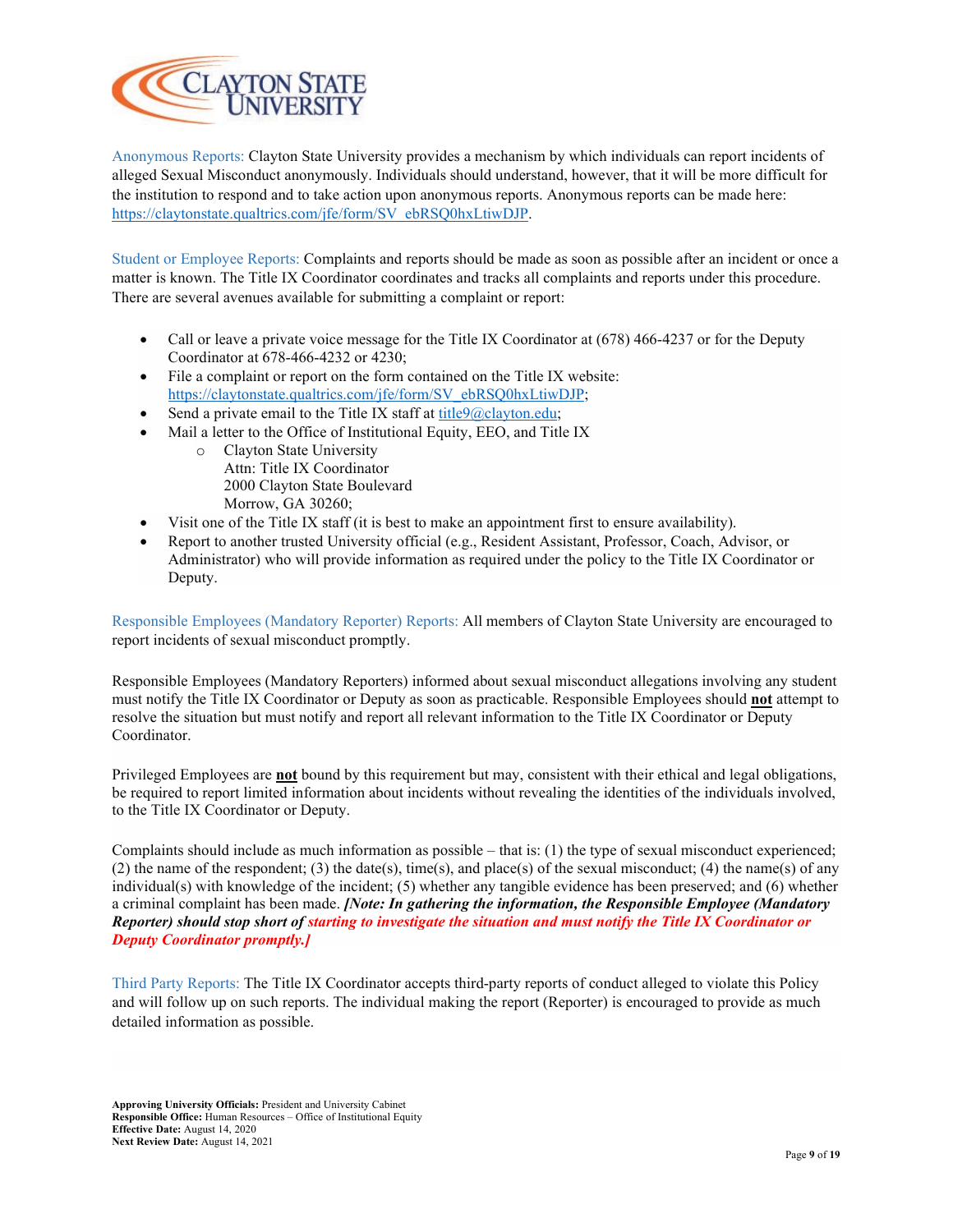

Anonymous Reports: Clayton State University provides a mechanism by which individuals can report incidents of alleged Sexual Misconduct anonymously. Individuals should understand, however, that it will be more difficult for the institution to respond and to take action upon anonymous reports. Anonymous reports can be made here: [https://claytonstate.qualtrics.com/jfe/form/SV\\_ebRSQ0hxLtiwDJP.](https://claytonstate.qualtrics.com/jfe/form/SV_ebRSQ0hxLtiwDJP)

Student or Employee Reports: Complaints and reports should be made as soon as possible after an incident or once a matter is known. The Title IX Coordinator coordinates and tracks all complaints and reports under this procedure. There are several avenues available for submitting a complaint or report:

- Call or leave a private voice message for the Title IX Coordinator at  $(678)$  466-4237 or for the Deputy Coordinator at 678-466-4232 or 4230;
- File a complaint or report on the form contained on the Title IX website: [https://claytonstate.qualtrics.com/jfe/form/SV\\_ebRSQ0hxLtiwDJP;](https://claytonstate.qualtrics.com/jfe/form/SV_ebRSQ0hxLtiwDJP)
- Send a private email to the Title IX staff at  $\frac{\text{title}}{0}$ clayton.edu;
- Mail a letter to the Office of Institutional Equity, EEO, and Title IX
	- o Clayton State University Attn: Title IX Coordinator 2000 Clayton State Boulevard Morrow, GA 30260;
- Visit one of the Title IX staff (it is best to make an appointment first to ensure availability).
- Report to another trusted University official (e.g., Resident Assistant, Professor, Coach, Advisor, or Administrator) who will provide information as required under the policy to the Title IX Coordinator or Deputy.

Responsible Employees (Mandatory Reporter) Reports: All members of Clayton State University are encouraged to report incidents of sexual misconduct promptly.

Responsible Employees (Mandatory Reporters) informed about sexual misconduct allegations involving any student must notify the Title IX Coordinator or Deputy as soon as practicable. Responsible Employees should **not** attempt to resolve the situation but must notify and report all relevant information to the Title IX Coordinator or Deputy Coordinator.

Privileged Employees are **not** bound by this requirement but may, consistent with their ethical and legal obligations, be required to report limited information about incidents without revealing the identities of the individuals involved, to the Title IX Coordinator or Deputy.

Complaints should include as much information as possible – that is: (1) the type of sexual misconduct experienced; (2) the name of the respondent; (3) the date(s), time(s), and place(s) of the sexual misconduct; (4) the name(s) of any individual(s) with knowledge of the incident; (5) whether any tangible evidence has been preserved; and (6) whether a criminal complaint has been made. *[Note: In gathering the information, the Responsible Employee (Mandatory Reporter) should stop short of starting to investigate the situation and must notify the Title IX Coordinator or Deputy Coordinator promptly.]*

Third Party Reports: The Title IX Coordinator accepts third-party reports of conduct alleged to violate this Policy and will follow up on such reports. The individual making the report (Reporter) is encouraged to provide as much detailed information as possible.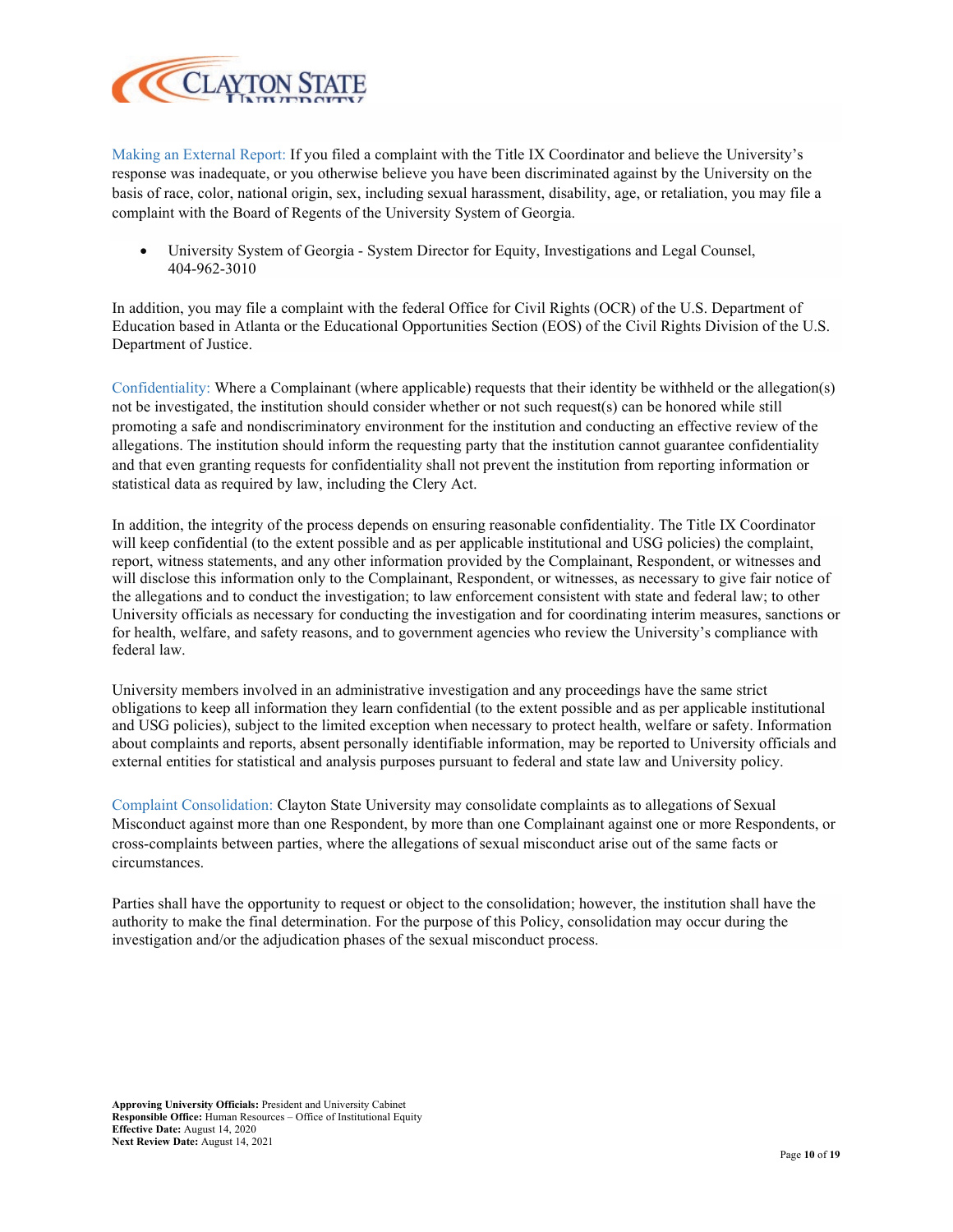

Making an External Report: If you filed a complaint with the Title IX Coordinator and believe the University's response was inadequate, or you otherwise believe you have been discriminated against by the University on the basis of race, color, national origin, sex, including sexual harassment, disability, age, or retaliation, you may file a complaint with the Board of Regents of the University System of Georgia.

• University System of Georgia - System Director for Equity, Investigations and Legal Counsel, 404-962-3010

In addition, you may file a complaint with the federal Office for Civil Rights (OCR) of the U.S. Department of Education based in Atlanta or the Educational Opportunities Section (EOS) of the Civil Rights Division of the U.S. Department of Justice.

Confidentiality: Where a Complainant (where applicable) requests that their identity be withheld or the allegation(s) not be investigated, the institution should consider whether or not such request(s) can be honored while still promoting a safe and nondiscriminatory environment for the institution and conducting an effective review of the allegations. The institution should inform the requesting party that the institution cannot guarantee confidentiality and that even granting requests for confidentiality shall not prevent the institution from reporting information or statistical data as required by law, including the Clery Act.

In addition, the integrity of the process depends on ensuring reasonable confidentiality. The Title IX Coordinator will keep confidential (to the extent possible and as per applicable institutional and USG policies) the complaint, report, witness statements, and any other information provided by the Complainant, Respondent, or witnesses and will disclose this information only to the Complainant, Respondent, or witnesses, as necessary to give fair notice of the allegations and to conduct the investigation; to law enforcement consistent with state and federal law; to other University officials as necessary for conducting the investigation and for coordinating interim measures, sanctions or for health, welfare, and safety reasons, and to government agencies who review the University's compliance with federal law.

University members involved in an administrative investigation and any proceedings have the same strict obligations to keep all information they learn confidential (to the extent possible and as per applicable institutional and USG policies), subject to the limited exception when necessary to protect health, welfare or safety. Information about complaints and reports, absent personally identifiable information, may be reported to University officials and external entities for statistical and analysis purposes pursuant to federal and state law and University policy.

Complaint Consolidation: Clayton State University may consolidate complaints as to allegations of Sexual Misconduct against more than one Respondent, by more than one Complainant against one or more Respondents, or cross-complaints between parties, where the allegations of sexual misconduct arise out of the same facts or circumstances.

Parties shall have the opportunity to request or object to the consolidation; however, the institution shall have the authority to make the final determination. For the purpose of this Policy, consolidation may occur during the investigation and/or the adjudication phases of the sexual misconduct process.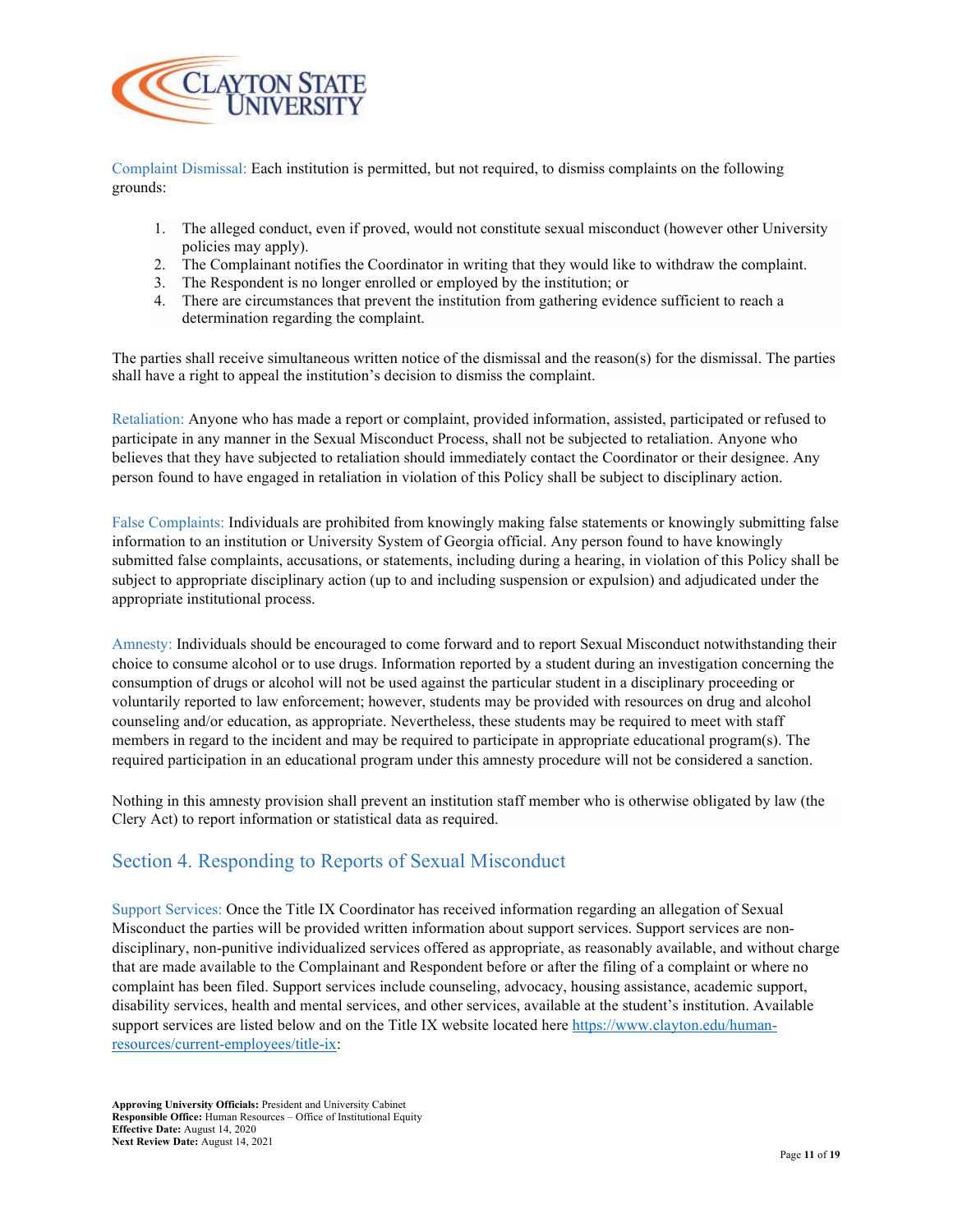

Complaint Dismissal: Each institution is permitted, but not required, to dismiss complaints on the following grounds:

- 1. The alleged conduct, even if proved, would not constitute sexual misconduct (however other University policies may apply).
- 2. The Complainant notifies the Coordinator in writing that they would like to withdraw the complaint.
- 3. The Respondent is no longer enrolled or employed by the institution; or
- 4. There are circumstances that prevent the institution from gathering evidence sufficient to reach a determination regarding the complaint.

The parties shall receive simultaneous written notice of the dismissal and the reason(s) for the dismissal. The parties shall have a right to appeal the institution's decision to dismiss the complaint.

Retaliation: Anyone who has made a report or complaint, provided information, assisted, participated or refused to participate in any manner in the Sexual Misconduct Process, shall not be subjected to retaliation. Anyone who believes that they have subjected to retaliation should immediately contact the Coordinator or their designee. Any person found to have engaged in retaliation in violation of this Policy shall be subject to disciplinary action.

False Complaints: Individuals are prohibited from knowingly making false statements or knowingly submitting false information to an institution or University System of Georgia official. Any person found to have knowingly submitted false complaints, accusations, or statements, including during a hearing, in violation of this Policy shall be subject to appropriate disciplinary action (up to and including suspension or expulsion) and adjudicated under the appropriate institutional process.

Amnesty: Individuals should be encouraged to come forward and to report Sexual Misconduct notwithstanding their choice to consume alcohol or to use drugs. Information reported by a student during an investigation concerning the consumption of drugs or alcohol will not be used against the particular student in a disciplinary proceeding or voluntarily reported to law enforcement; however, students may be provided with resources on drug and alcohol counseling and/or education, as appropriate. Nevertheless, these students may be required to meet with staff members in regard to the incident and may be required to participate in appropriate educational program(s). The required participation in an educational program under this amnesty procedure will not be considered a sanction.

Nothing in this amnesty provision shall prevent an institution staff member who is otherwise obligated by law (the Clery Act) to report information or statistical data as required.

# Section 4. Responding to Reports of Sexual Misconduct

Support Services: Once the Title IX Coordinator has received information regarding an allegation of Sexual Misconduct the parties will be provided written information about support services. Support services are nondisciplinary, non-punitive individualized services offered as appropriate, as reasonably available, and without charge that are made available to the Complainant and Respondent before or after the filing of a complaint or where no complaint has been filed. Support services include counseling, advocacy, housing assistance, academic support, disability services, health and mental services, and other services, available at the student's institution. Available support services are listed below and on the Title IX website located her[e https://www.clayton.edu/human](https://www.clayton.edu/human-resources/current-employees/title-ix)[resources/current-employees/title-ix:](https://www.clayton.edu/human-resources/current-employees/title-ix)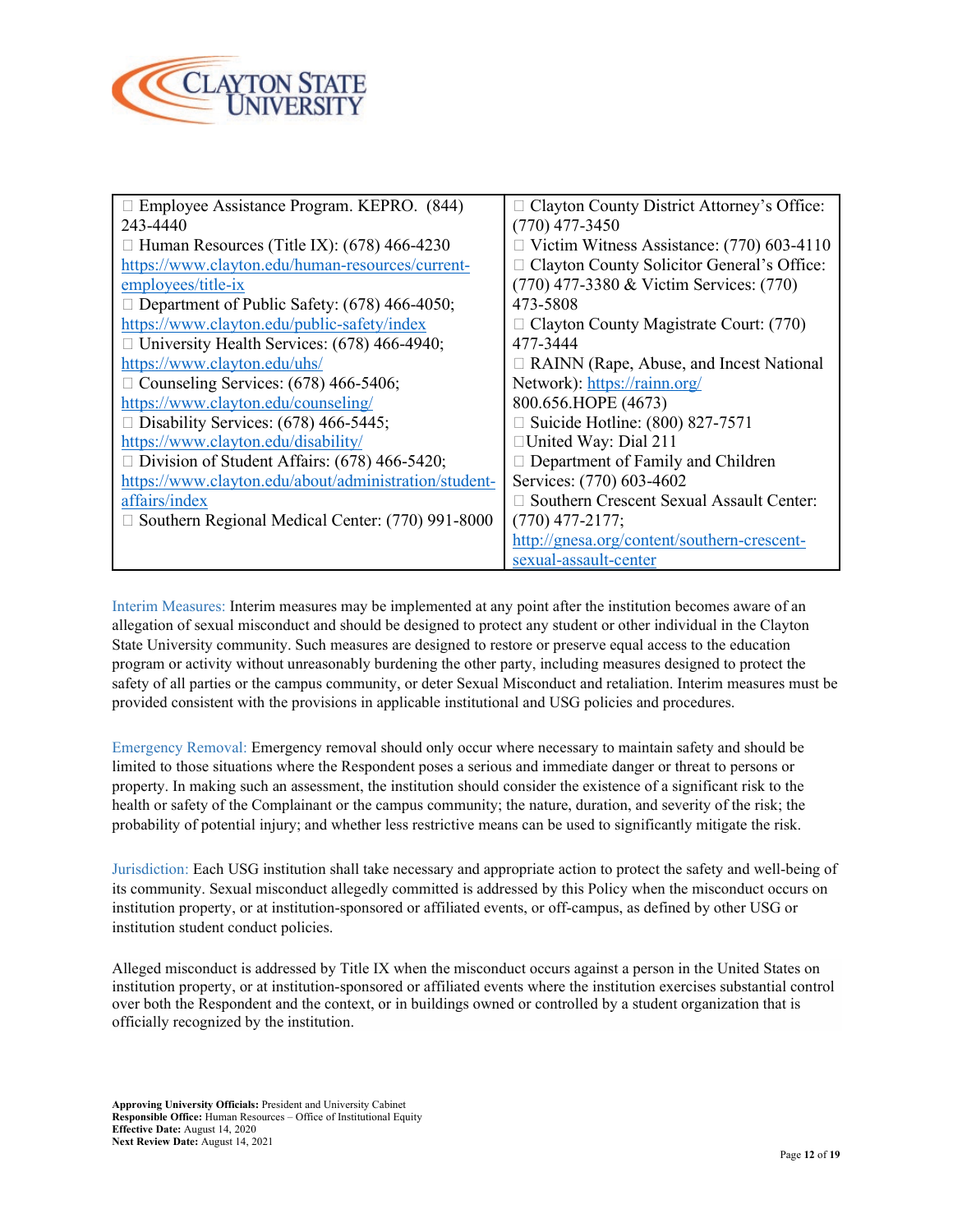

| □ Employee Assistance Program. KEPRO. (844)             | $\Box$ Clayton County District Attorney's Office: |
|---------------------------------------------------------|---------------------------------------------------|
| 243-4440                                                | $(770)$ 477-3450                                  |
| $\Box$ Human Resources (Title IX): (678) 466-4230       | Victim Witness Assistance: (770) 603-4110         |
| https://www.clayton.edu/human-resources/current-        | □ Clayton County Solicitor General's Office:      |
| employees/title-ix                                      | (770) 477-3380 & Victim Services: (770)           |
| $\Box$ Department of Public Safety: (678) 466-4050;     | 473-5808                                          |
| https://www.clayton.edu/public-safety/index             | $\Box$ Clayton County Magistrate Court: (770)     |
| $\Box$ University Health Services: (678) 466-4940;      | 477-3444                                          |
| https://www.clayton.edu/uhs/                            | $\Box$ RAINN (Rape, Abuse, and Incest National    |
| $\Box$ Counseling Services: (678) 466-5406;             | Network): https://rainn.org/                      |
| https://www.clayton.edu/counseling/                     | 800.656.HOPE (4673)                               |
| $\Box$ Disability Services: (678) 466-5445;             | Suicide Hotline: (800) 827-7571                   |
| https://www.clayton.edu/disability/                     | □United Way: Dial 211                             |
| $\Box$ Division of Student Affairs: (678) 466-5420;     | $\Box$ Department of Family and Children          |
| https://www.clayton.edu/about/administration/student-   | Services: (770) 603-4602                          |
| affairs/index                                           | Southern Crescent Sexual Assault Center:          |
| $\Box$ Southern Regional Medical Center: (770) 991-8000 | $(770)$ 477-2177;                                 |
|                                                         | http://gnesa.org/content/southern-crescent-       |
|                                                         | sexual-assault-center                             |

Interim Measures: Interim measures may be implemented at any point after the institution becomes aware of an allegation of sexual misconduct and should be designed to protect any student or other individual in the Clayton State University community. Such measures are designed to restore or preserve equal access to the education program or activity without unreasonably burdening the other party, including measures designed to protect the safety of all parties or the campus community, or deter Sexual Misconduct and retaliation. Interim measures must be provided consistent with the provisions in applicable institutional and USG policies and procedures.

Emergency Removal: Emergency removal should only occur where necessary to maintain safety and should be limited to those situations where the Respondent poses a serious and immediate danger or threat to persons or property. In making such an assessment, the institution should consider the existence of a significant risk to the health or safety of the Complainant or the campus community; the nature, duration, and severity of the risk; the probability of potential injury; and whether less restrictive means can be used to significantly mitigate the risk.

Jurisdiction: Each USG institution shall take necessary and appropriate action to protect the safety and well-being of its community. Sexual misconduct allegedly committed is addressed by this Policy when the misconduct occurs on institution property, or at institution-sponsored or affiliated events, or off-campus, as defined by other USG or institution student conduct policies.

Alleged misconduct is addressed by Title IX when the misconduct occurs against a person in the United States on institution property, or at institution-sponsored or affiliated events where the institution exercises substantial control over both the Respondent and the context, or in buildings owned or controlled by a student organization that is officially recognized by the institution.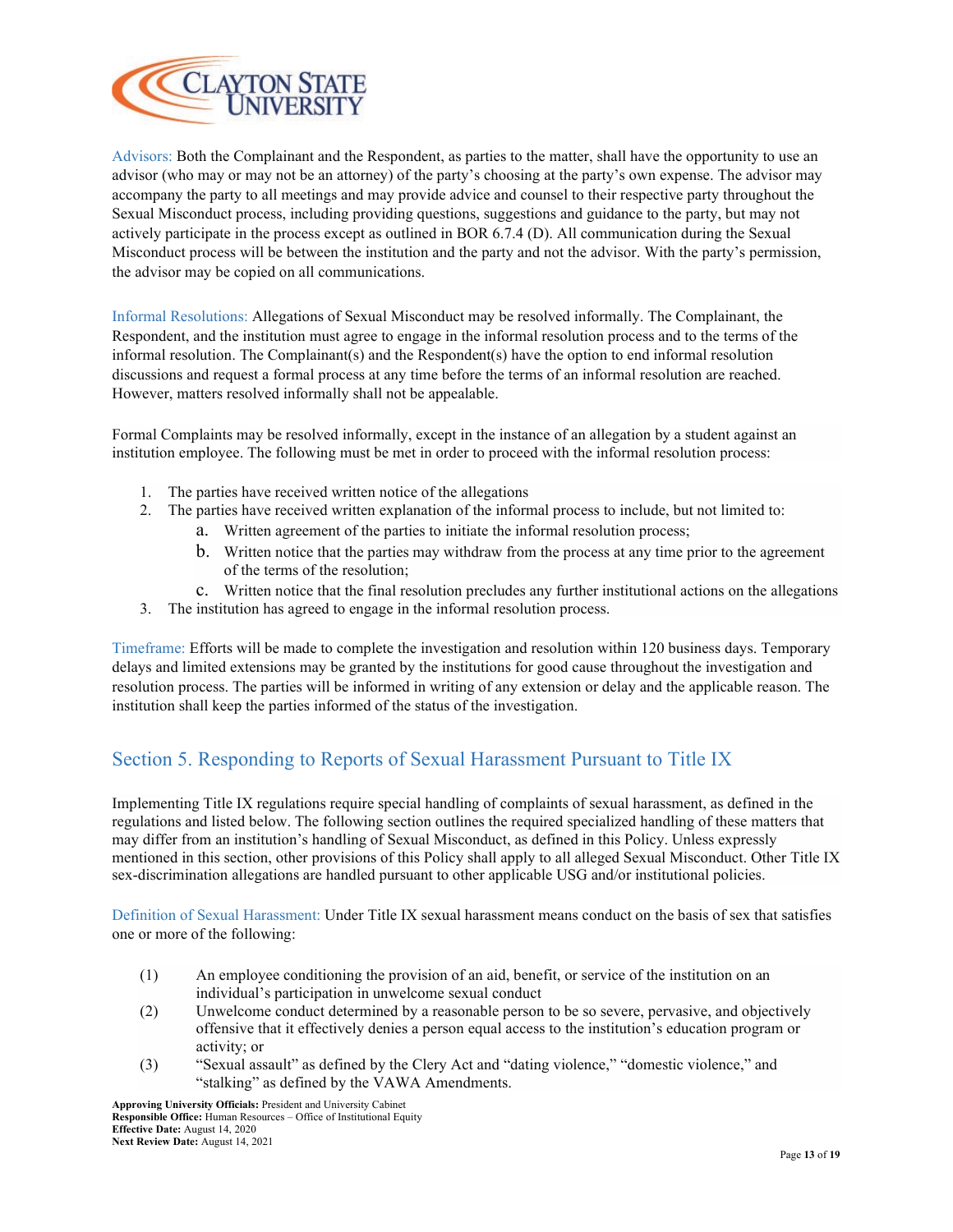

Advisors: Both the Complainant and the Respondent, as parties to the matter, shall have the opportunity to use an advisor (who may or may not be an attorney) of the party's choosing at the party's own expense. The advisor may accompany the party to all meetings and may provide advice and counsel to their respective party throughout the Sexual Misconduct process, including providing questions, suggestions and guidance to the party, but may not actively participate in the process except as outlined in BOR 6.7.4 (D). All communication during the Sexual Misconduct process will be between the institution and the party and not the advisor. With the party's permission, the advisor may be copied on all communications.

Informal Resolutions: Allegations of Sexual Misconduct may be resolved informally. The Complainant, the Respondent, and the institution must agree to engage in the informal resolution process and to the terms of the informal resolution. The Complainant(s) and the Respondent(s) have the option to end informal resolution discussions and request a formal process at any time before the terms of an informal resolution are reached. However, matters resolved informally shall not be appealable.

Formal Complaints may be resolved informally, except in the instance of an allegation by a student against an institution employee. The following must be met in order to proceed with the informal resolution process:

- 1. The parties have received written notice of the allegations
- 2. The parties have received written explanation of the informal process to include, but not limited to:
	- a. Written agreement of the parties to initiate the informal resolution process;
	- b. Written notice that the parties may withdraw from the process at any time prior to the agreement of the terms of the resolution;
	- c. Written notice that the final resolution precludes any further institutional actions on the allegations
- 3. The institution has agreed to engage in the informal resolution process.

Timeframe: Efforts will be made to complete the investigation and resolution within 120 business days. Temporary delays and limited extensions may be granted by the institutions for good cause throughout the investigation and resolution process. The parties will be informed in writing of any extension or delay and the applicable reason. The institution shall keep the parties informed of the status of the investigation.

# Section 5. Responding to Reports of Sexual Harassment Pursuant to Title IX

Implementing Title IX regulations require special handling of complaints of sexual harassment, as defined in the regulations and listed below. The following section outlines the required specialized handling of these matters that may differ from an institution's handling of Sexual Misconduct, as defined in this Policy. Unless expressly mentioned in this section, other provisions of this Policy shall apply to all alleged Sexual Misconduct. Other Title IX sex-discrimination allegations are handled pursuant to other applicable USG and/or institutional policies.

Definition of Sexual Harassment: Under Title IX sexual harassment means conduct on the basis of sex that satisfies one or more of the following:

- (1) An employee conditioning the provision of an aid, benefit, or service of the institution on an individual's participation in unwelcome sexual conduct
- (2) Unwelcome conduct determined by a reasonable person to be so severe, pervasive, and objectively offensive that it effectively denies a person equal access to the institution's education program or activity; or
- (3) "Sexual assault" as defined by the Clery Act and "dating violence," "domestic violence," and "stalking" as defined by the VAWA Amendments.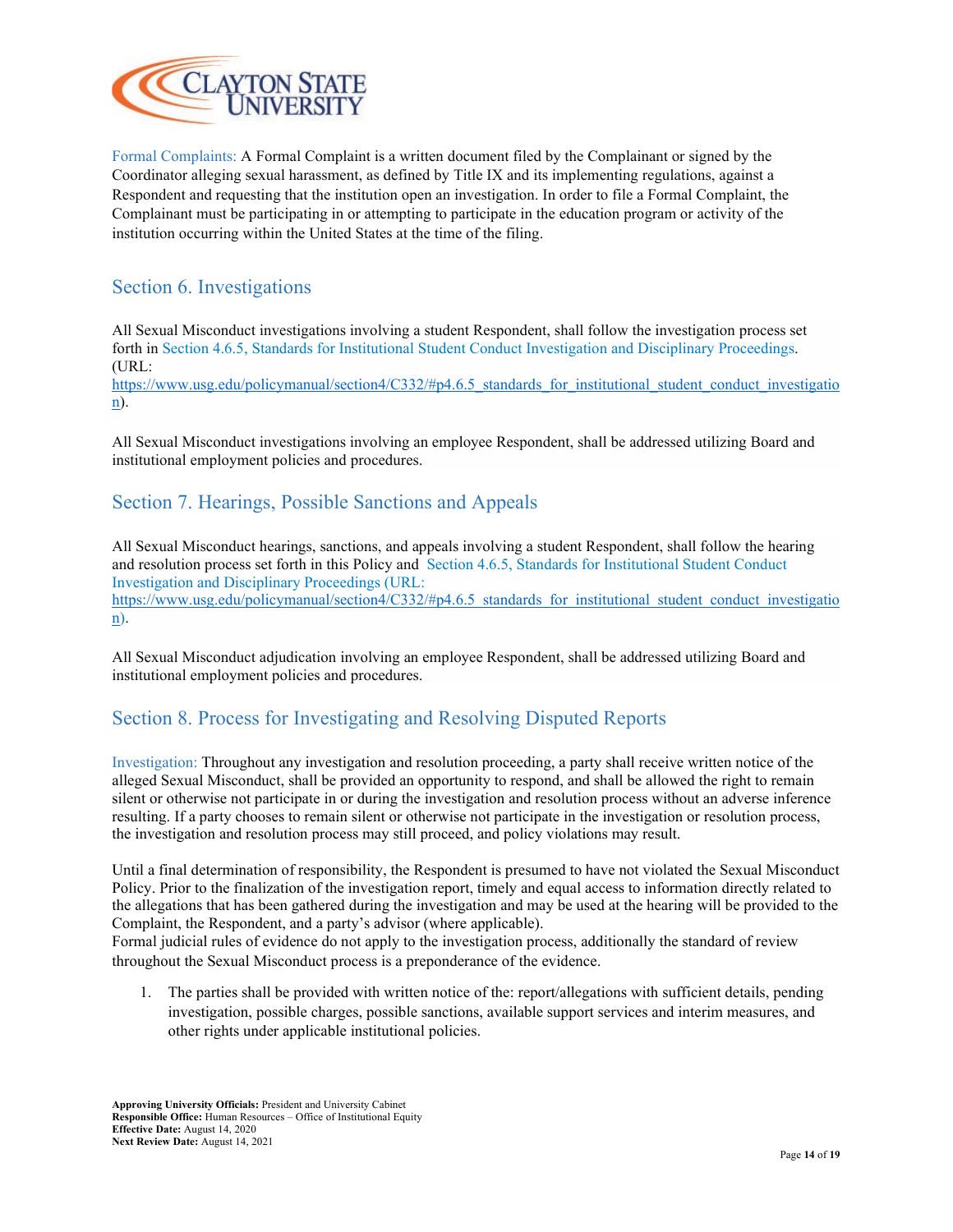

Formal Complaints: A Formal Complaint is a written document filed by the Complainant or signed by the Coordinator alleging sexual harassment, as defined by Title IX and its implementing regulations, against a Respondent and requesting that the institution open an investigation. In order to file a Formal Complaint, the Complainant must be participating in or attempting to participate in the education program or activity of the institution occurring within the United States at the time of the filing.

### Section 6. Investigations

All Sexual Misconduct investigations involving a student Respondent, shall follow the investigation process set forth in [Section 4.6.5, Standards for Institutional Student Conduct Investigation and Disciplinary Proceedings.](https://www.usg.edu/policymanual/section4/C332/#p4.6.5_standards_for_institutional_student_conduct_investigation) (URL:

[https://www.usg.edu/policymanual/section4/C332/#p4.6.5\\_standards\\_for\\_institutional\\_student\\_conduct\\_investigatio](https://www.usg.edu/policymanual/section4/C332/#p4.6.5_standards_for_institutional_student_conduct_investigation) [n\)](https://www.usg.edu/policymanual/section4/C332/#p4.6.5_standards_for_institutional_student_conduct_investigation).

All Sexual Misconduct investigations involving an employee Respondent, shall be addressed utilizing Board and institutional employment policies and procedures.

### Section 7. Hearings, Possible Sanctions and Appeals

All Sexual Misconduct hearings, sanctions, and appeals involving a student Respondent, shall follow the hearing and resolution process set forth in this Policy and [Section 4.6.5, Standards for Institutional Student Conduct](https://www.usg.edu/policymanual/section4/C332/#p4.6.5_standards_for_institutional_student_conduct_investigation)  [Investigation and Disciplinary Proceedings](https://www.usg.edu/policymanual/section4/C332/#p4.6.5_standards_for_institutional_student_conduct_investigation) (URL: [https://www.usg.edu/policymanual/section4/C332/#p4.6.5\\_standards\\_for\\_institutional\\_student\\_conduct\\_investigatio](https://www.usg.edu/policymanual/section4/C332/#p4.6.5_standards_for_institutional_student_conduct_investigation) [n\)](https://www.usg.edu/policymanual/section4/C332/#p4.6.5_standards_for_institutional_student_conduct_investigation).

All Sexual Misconduct adjudication involving an employee Respondent, shall be addressed utilizing Board and institutional employment policies and procedures.

#### Section 8. Process for Investigating and Resolving Disputed Reports

Investigation: Throughout any investigation and resolution proceeding, a party shall receive written notice of the alleged Sexual Misconduct, shall be provided an opportunity to respond, and shall be allowed the right to remain silent or otherwise not participate in or during the investigation and resolution process without an adverse inference resulting. If a party chooses to remain silent or otherwise not participate in the investigation or resolution process, the investigation and resolution process may still proceed, and policy violations may result.

Until a final determination of responsibility, the Respondent is presumed to have not violated the Sexual Misconduct Policy. Prior to the finalization of the investigation report, timely and equal access to information directly related to the allegations that has been gathered during the investigation and may be used at the hearing will be provided to the Complaint, the Respondent, and a party's advisor (where applicable).

Formal judicial rules of evidence do not apply to the investigation process, additionally the standard of review throughout the Sexual Misconduct process is a preponderance of the evidence.

1. The parties shall be provided with written notice of the: report/allegations with sufficient details, pending investigation, possible charges, possible sanctions, available support services and interim measures, and other rights under applicable institutional policies.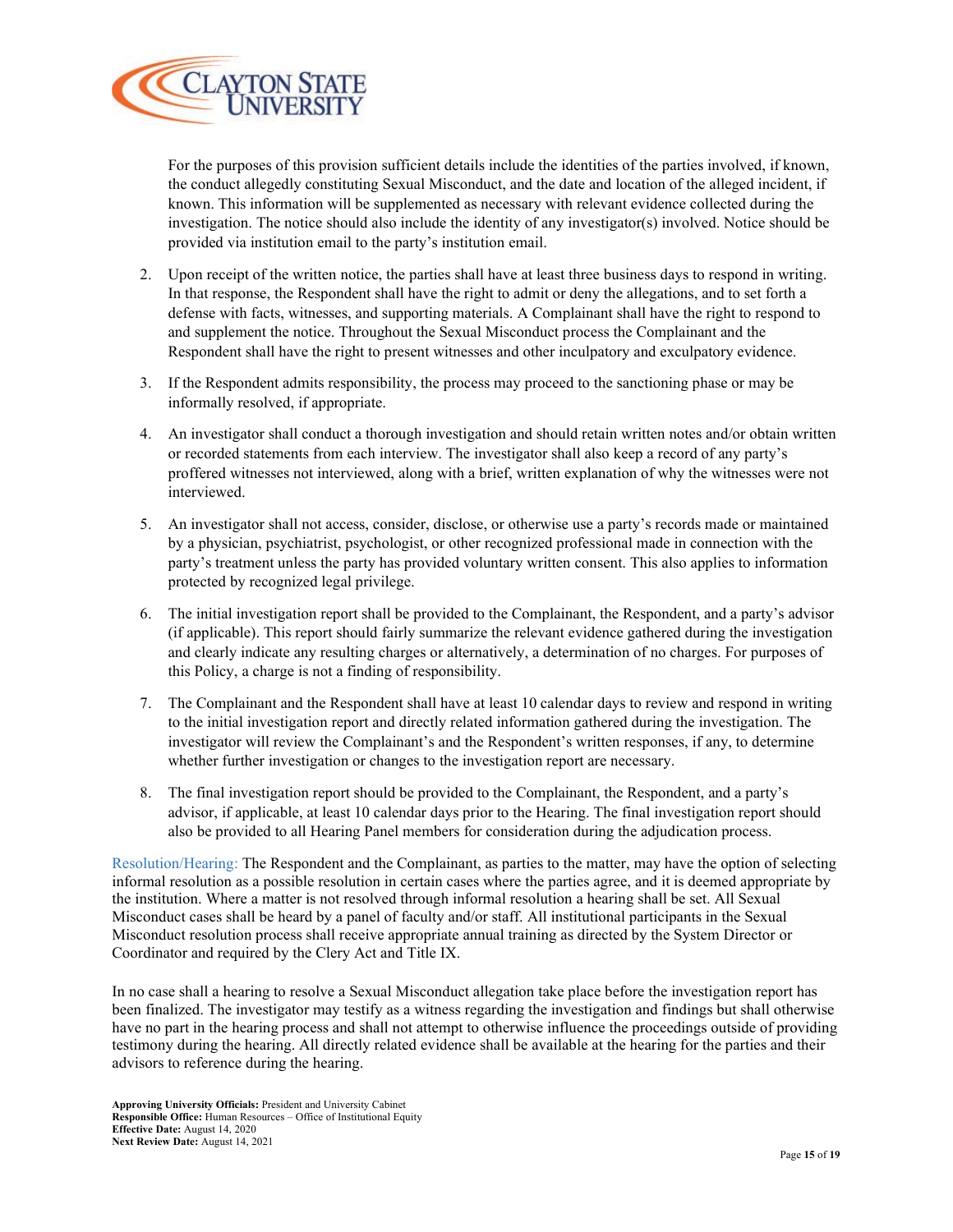

For the purposes of this provision sufficient details include the identities of the parties involved, if known, the conduct allegedly constituting Sexual Misconduct, and the date and location of the alleged incident, if known. This information will be supplemented as necessary with relevant evidence collected during the investigation. The notice should also include the identity of any investigator(s) involved. Notice should be provided via institution email to the party's institution email.

- 2. Upon receipt of the written notice, the parties shall have at least three business days to respond in writing. In that response, the Respondent shall have the right to admit or deny the allegations, and to set forth a defense with facts, witnesses, and supporting materials. A Complainant shall have the right to respond to and supplement the notice. Throughout the Sexual Misconduct process the Complainant and the Respondent shall have the right to present witnesses and other inculpatory and exculpatory evidence.
- 3. If the Respondent admits responsibility, the process may proceed to the sanctioning phase or may be informally resolved, if appropriate.
- 4. An investigator shall conduct a thorough investigation and should retain written notes and/or obtain written or recorded statements from each interview. The investigator shall also keep a record of any party's proffered witnesses not interviewed, along with a brief, written explanation of why the witnesses were not interviewed.
- 5. An investigator shall not access, consider, disclose, or otherwise use a party's records made or maintained by a physician, psychiatrist, psychologist, or other recognized professional made in connection with the party's treatment unless the party has provided voluntary written consent. This also applies to information protected by recognized legal privilege.
- 6. The initial investigation report shall be provided to the Complainant, the Respondent, and a party's advisor (if applicable). This report should fairly summarize the relevant evidence gathered during the investigation and clearly indicate any resulting charges or alternatively, a determination of no charges. For purposes of this Policy, a charge is not a finding of responsibility.
- 7. The Complainant and the Respondent shall have at least 10 calendar days to review and respond in writing to the initial investigation report and directly related information gathered during the investigation. The investigator will review the Complainant's and the Respondent's written responses, if any, to determine whether further investigation or changes to the investigation report are necessary.
- 8. The final investigation report should be provided to the Complainant, the Respondent, and a party's advisor, if applicable, at least 10 calendar days prior to the Hearing. The final investigation report should also be provided to all Hearing Panel members for consideration during the adjudication process.

Resolution/Hearing: The Respondent and the Complainant, as parties to the matter, may have the option of selecting informal resolution as a possible resolution in certain cases where the parties agree, and it is deemed appropriate by the institution. Where a matter is not resolved through informal resolution a hearing shall be set. All Sexual Misconduct cases shall be heard by a panel of faculty and/or staff. All institutional participants in the Sexual Misconduct resolution process shall receive appropriate annual training as directed by the System Director or Coordinator and required by the Clery Act and Title IX.

In no case shall a hearing to resolve a Sexual Misconduct allegation take place before the investigation report has been finalized. The investigator may testify as a witness regarding the investigation and findings but shall otherwise have no part in the hearing process and shall not attempt to otherwise influence the proceedings outside of providing testimony during the hearing. All directly related evidence shall be available at the hearing for the parties and their advisors to reference during the hearing.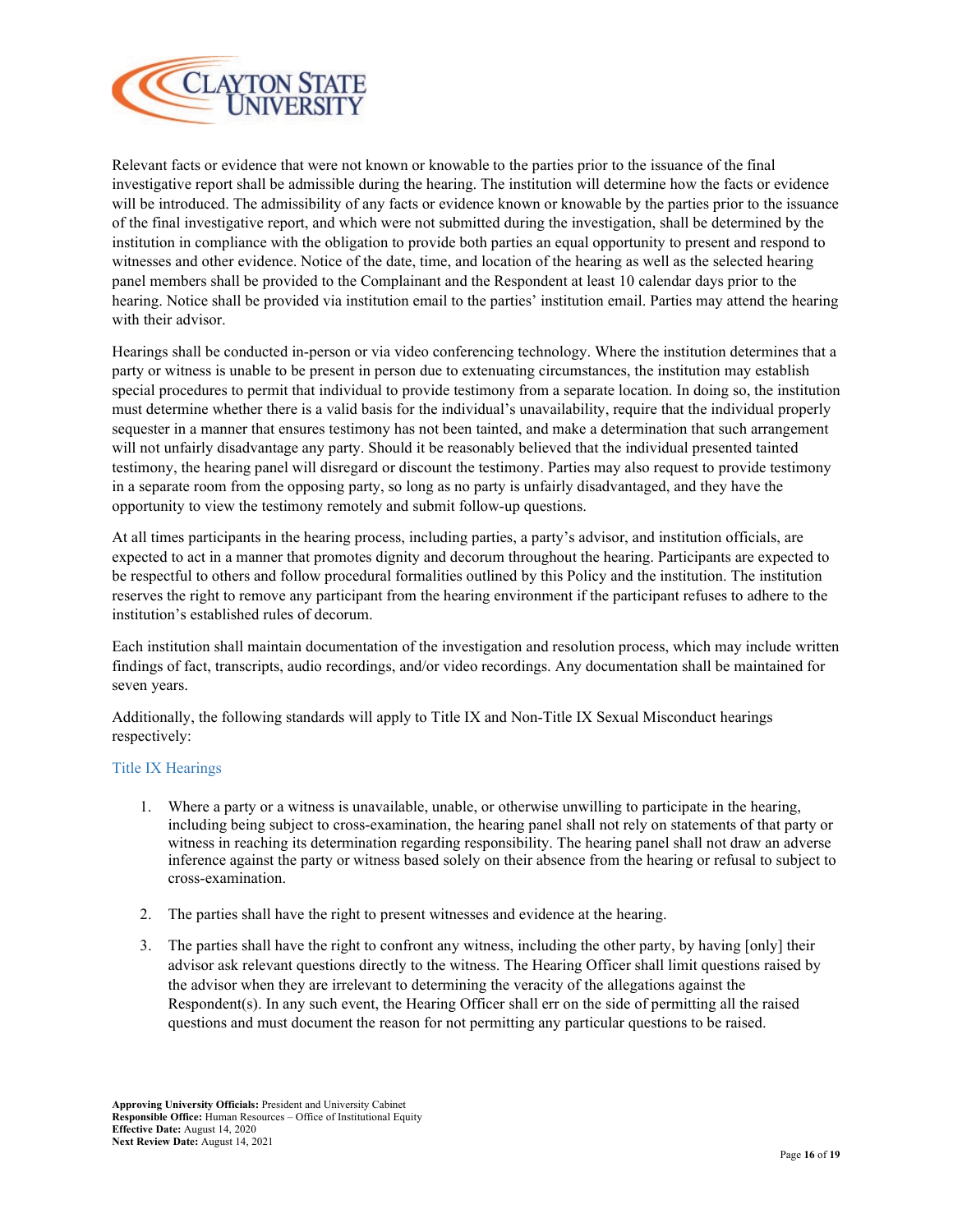

Relevant facts or evidence that were not known or knowable to the parties prior to the issuance of the final investigative report shall be admissible during the hearing. The institution will determine how the facts or evidence will be introduced. The admissibility of any facts or evidence known or knowable by the parties prior to the issuance of the final investigative report, and which were not submitted during the investigation, shall be determined by the institution in compliance with the obligation to provide both parties an equal opportunity to present and respond to witnesses and other evidence. Notice of the date, time, and location of the hearing as well as the selected hearing panel members shall be provided to the Complainant and the Respondent at least 10 calendar days prior to the hearing. Notice shall be provided via institution email to the parties' institution email. Parties may attend the hearing with their advisor.

Hearings shall be conducted in-person or via video conferencing technology. Where the institution determines that a party or witness is unable to be present in person due to extenuating circumstances, the institution may establish special procedures to permit that individual to provide testimony from a separate location. In doing so, the institution must determine whether there is a valid basis for the individual's unavailability, require that the individual properly sequester in a manner that ensures testimony has not been tainted, and make a determination that such arrangement will not unfairly disadvantage any party. Should it be reasonably believed that the individual presented tainted testimony, the hearing panel will disregard or discount the testimony. Parties may also request to provide testimony in a separate room from the opposing party, so long as no party is unfairly disadvantaged, and they have the opportunity to view the testimony remotely and submit follow-up questions.

At all times participants in the hearing process, including parties, a party's advisor, and institution officials, are expected to act in a manner that promotes dignity and decorum throughout the hearing. Participants are expected to be respectful to others and follow procedural formalities outlined by this Policy and the institution. The institution reserves the right to remove any participant from the hearing environment if the participant refuses to adhere to the institution's established rules of decorum.

Each institution shall maintain documentation of the investigation and resolution process, which may include written findings of fact, transcripts, audio recordings, and/or video recordings. Any documentation shall be maintained for seven years.

Additionally, the following standards will apply to Title IX and Non-Title IX Sexual Misconduct hearings respectively:

#### Title IX Hearings

- 1. Where a party or a witness is unavailable, unable, or otherwise unwilling to participate in the hearing, including being subject to cross-examination, the hearing panel shall not rely on statements of that party or witness in reaching its determination regarding responsibility. The hearing panel shall not draw an adverse inference against the party or witness based solely on their absence from the hearing or refusal to subject to cross-examination.
- 2. The parties shall have the right to present witnesses and evidence at the hearing.
- 3. The parties shall have the right to confront any witness, including the other party, by having [only] their advisor ask relevant questions directly to the witness. The Hearing Officer shall limit questions raised by the advisor when they are irrelevant to determining the veracity of the allegations against the Respondent(s). In any such event, the Hearing Officer shall err on the side of permitting all the raised questions and must document the reason for not permitting any particular questions to be raised.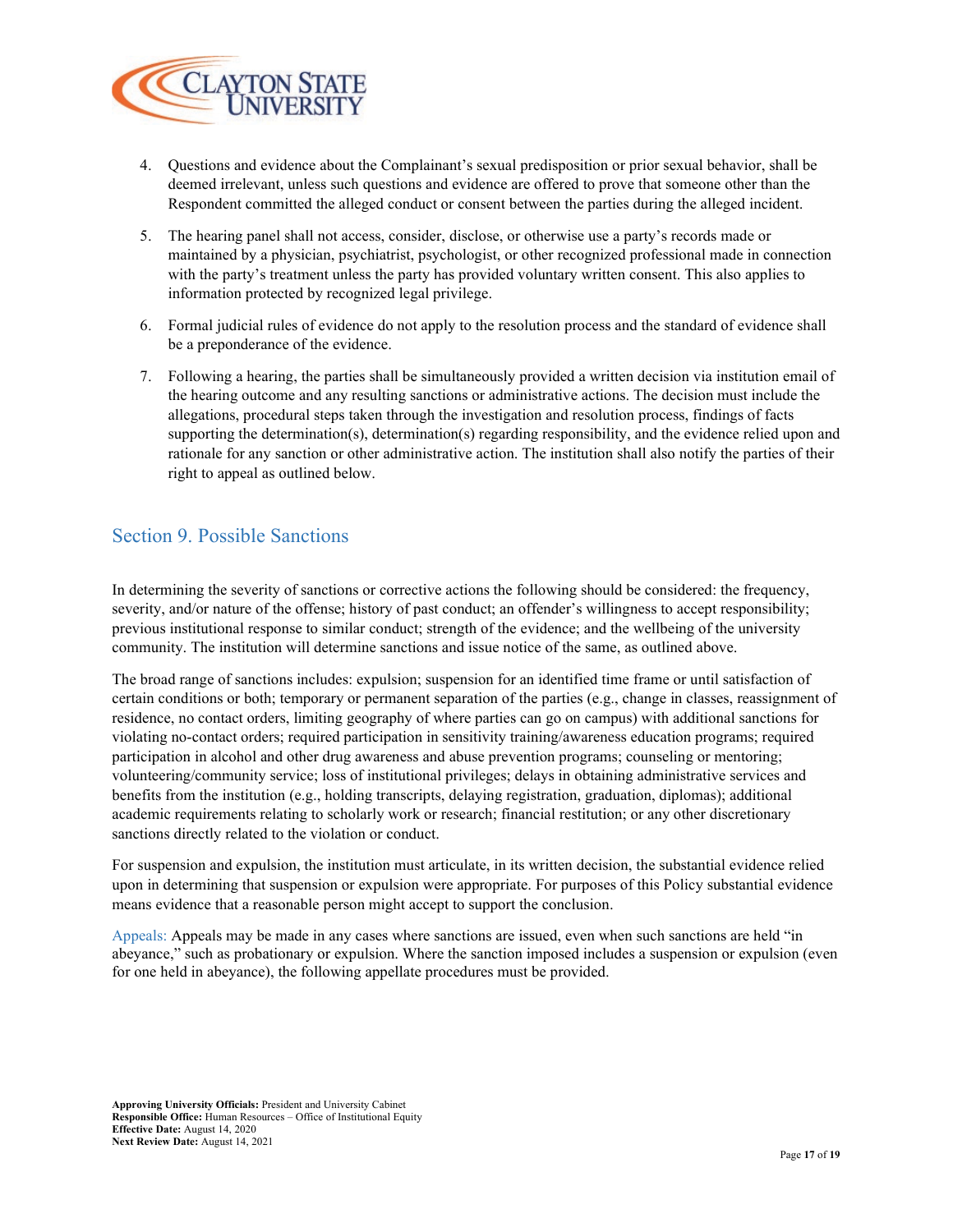

- 4. Questions and evidence about the Complainant's sexual predisposition or prior sexual behavior, shall be deemed irrelevant, unless such questions and evidence are offered to prove that someone other than the Respondent committed the alleged conduct or consent between the parties during the alleged incident.
- 5. The hearing panel shall not access, consider, disclose, or otherwise use a party's records made or maintained by a physician, psychiatrist, psychologist, or other recognized professional made in connection with the party's treatment unless the party has provided voluntary written consent. This also applies to information protected by recognized legal privilege.
- 6. Formal judicial rules of evidence do not apply to the resolution process and the standard of evidence shall be a preponderance of the evidence.
- 7. Following a hearing, the parties shall be simultaneously provided a written decision via institution email of the hearing outcome and any resulting sanctions or administrative actions. The decision must include the allegations, procedural steps taken through the investigation and resolution process, findings of facts supporting the determination(s), determination(s) regarding responsibility, and the evidence relied upon and rationale for any sanction or other administrative action. The institution shall also notify the parties of their right to appeal as outlined below.

#### Section 9. Possible Sanctions

In determining the severity of sanctions or corrective actions the following should be considered: the frequency, severity, and/or nature of the offense; history of past conduct; an offender's willingness to accept responsibility; previous institutional response to similar conduct; strength of the evidence; and the wellbeing of the university community. The institution will determine sanctions and issue notice of the same, as outlined above.

The broad range of sanctions includes: expulsion; suspension for an identified time frame or until satisfaction of certain conditions or both; temporary or permanent separation of the parties (e.g., change in classes, reassignment of residence, no contact orders, limiting geography of where parties can go on campus) with additional sanctions for violating no-contact orders; required participation in sensitivity training/awareness education programs; required participation in alcohol and other drug awareness and abuse prevention programs; counseling or mentoring; volunteering/community service; loss of institutional privileges; delays in obtaining administrative services and benefits from the institution (e.g., holding transcripts, delaying registration, graduation, diplomas); additional academic requirements relating to scholarly work or research; financial restitution; or any other discretionary sanctions directly related to the violation or conduct.

For suspension and expulsion, the institution must articulate, in its written decision, the substantial evidence relied upon in determining that suspension or expulsion were appropriate. For purposes of this Policy substantial evidence means evidence that a reasonable person might accept to support the conclusion.

Appeals: Appeals may be made in any cases where sanctions are issued, even when such sanctions are held "in abeyance," such as probationary or expulsion. Where the sanction imposed includes a suspension or expulsion (even for one held in abeyance), the following appellate procedures must be provided.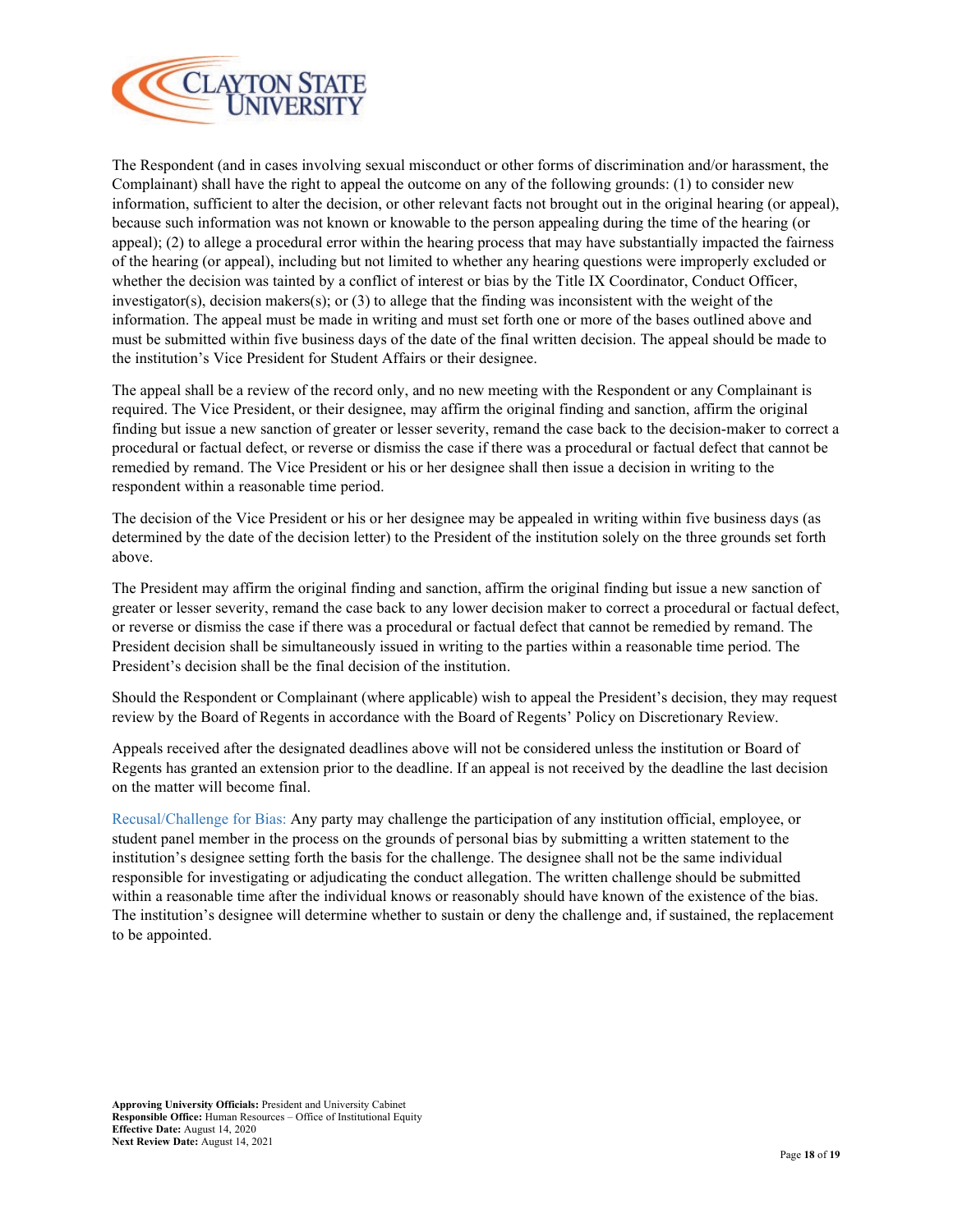

The Respondent (and in cases involving sexual misconduct or other forms of discrimination and/or harassment, the Complainant) shall have the right to appeal the outcome on any of the following grounds: (1) to consider new information, sufficient to alter the decision, or other relevant facts not brought out in the original hearing (or appeal), because such information was not known or knowable to the person appealing during the time of the hearing (or appeal); (2) to allege a procedural error within the hearing process that may have substantially impacted the fairness of the hearing (or appeal), including but not limited to whether any hearing questions were improperly excluded or whether the decision was tainted by a conflict of interest or bias by the Title IX Coordinator, Conduct Officer, investigator(s), decision makers(s); or (3) to allege that the finding was inconsistent with the weight of the information. The appeal must be made in writing and must set forth one or more of the bases outlined above and must be submitted within five business days of the date of the final written decision. The appeal should be made to the institution's Vice President for Student Affairs or their designee.

The appeal shall be a review of the record only, and no new meeting with the Respondent or any Complainant is required. The Vice President, or their designee, may affirm the original finding and sanction, affirm the original finding but issue a new sanction of greater or lesser severity, remand the case back to the decision-maker to correct a procedural or factual defect, or reverse or dismiss the case if there was a procedural or factual defect that cannot be remedied by remand. The Vice President or his or her designee shall then issue a decision in writing to the respondent within a reasonable time period.

The decision of the Vice President or his or her designee may be appealed in writing within five business days (as determined by the date of the decision letter) to the President of the institution solely on the three grounds set forth above.

The President may affirm the original finding and sanction, affirm the original finding but issue a new sanction of greater or lesser severity, remand the case back to any lower decision maker to correct a procedural or factual defect, or reverse or dismiss the case if there was a procedural or factual defect that cannot be remedied by remand. The President decision shall be simultaneously issued in writing to the parties within a reasonable time period. The President's decision shall be the final decision of the institution.

Should the Respondent or Complainant (where applicable) wish to appeal the President's decision, they may request review by the Board of Regents in accordance with the Board of Regents' Policy on Discretionary Review.

Appeals received after the designated deadlines above will not be considered unless the institution or Board of Regents has granted an extension prior to the deadline. If an appeal is not received by the deadline the last decision on the matter will become final.

Recusal/Challenge for Bias: Any party may challenge the participation of any institution official, employee, or student panel member in the process on the grounds of personal bias by submitting a written statement to the institution's designee setting forth the basis for the challenge. The designee shall not be the same individual responsible for investigating or adjudicating the conduct allegation. The written challenge should be submitted within a reasonable time after the individual knows or reasonably should have known of the existence of the bias. The institution's designee will determine whether to sustain or deny the challenge and, if sustained, the replacement to be appointed.